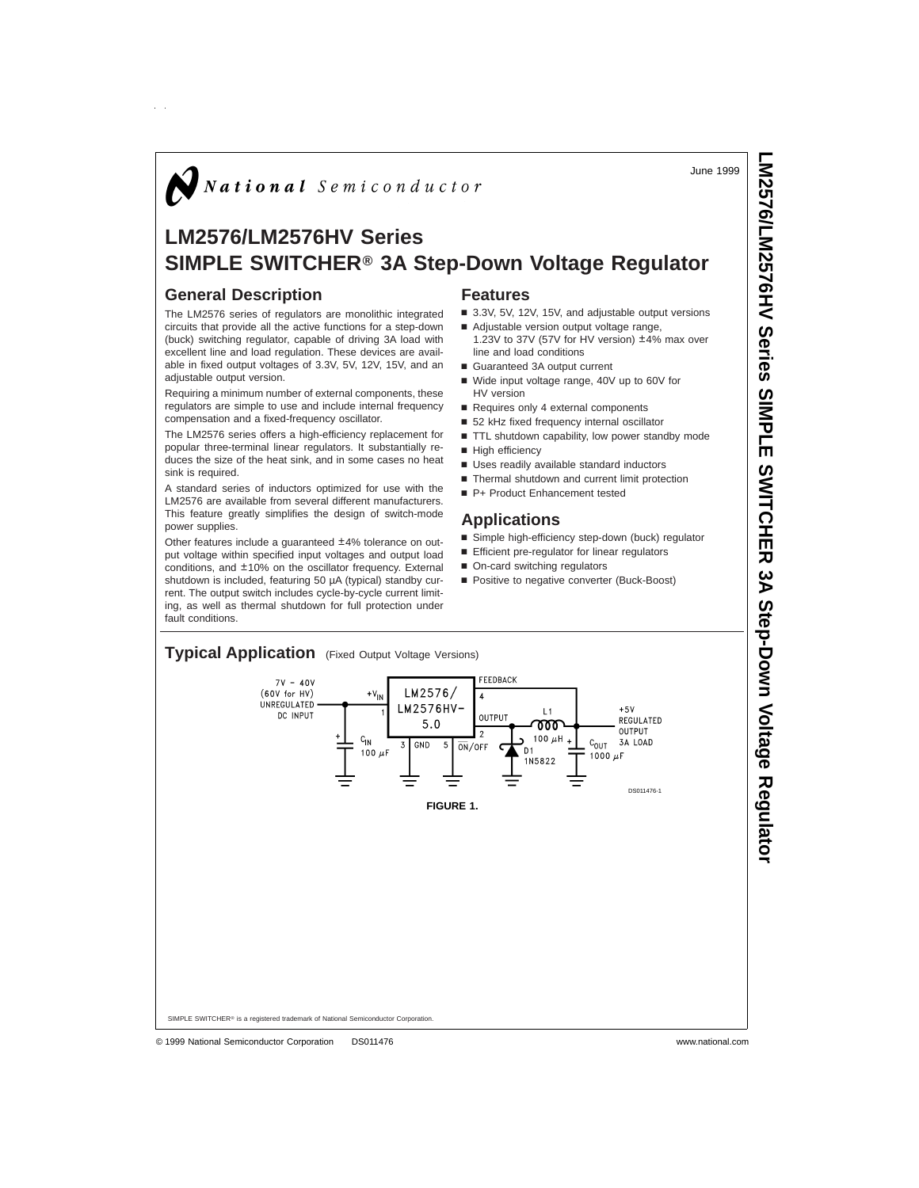June 1999

**LM2576/LM2576HV**

 **Series SIMPLE** 

**SWITCHER**

 $\frac{2}{3}$ 

**Step-Down**

 **Voltage Regulator**

# National Semiconductor

# **LM2576/LM2576HV Series SIMPLE SWITCHER® 3A Step-Down Voltage Regulator**

### **General Description**

The LM2576 series of regulators are monolithic integrated circuits that provide all the active functions for a step-down (buck) switching regulator, capable of driving 3A load with excellent line and load regulation. These devices are available in fixed output voltages of 3.3V, 5V, 12V, 15V, and an adiustable output version.

Requiring a minimum number of external components, these regulators are simple to use and include internal frequency compensation and a fixed-frequency oscillator.

The LM2576 series offers a high-efficiency replacement for popular three-terminal linear regulators. It substantially reduces the size of the heat sink, and in some cases no heat sink is required.

A standard series of inductors optimized for use with the LM2576 are available from several different manufacturers. This feature greatly simplifies the design of switch-mode power supplies.

Other features include a guaranteed ±4% tolerance on output voltage within specified input voltages and output load conditions, and ±10% on the oscillator frequency. External shutdown is included, featuring 50 µA (typical) standby current. The output switch includes cycle-by-cycle current limiting, as well as thermal shutdown for full protection under fault conditions.

# **Features**

- 3.3V, 5V, 12V, 15V, and adjustable output versions
- Adjustable version output voltage range, 1.23V to 37V (57V for HV version) ±4% max over
- line and load conditions
- Guaranteed 3A output current
- Wide input voltage range, 40V up to 60V for HV version
- Requires only 4 external components
- 52 kHz fixed frequency internal oscillator
- TTL shutdown capability, low power standby mode
- High efficiency
- **u** Uses readily available standard inductors
- Thermal shutdown and current limit protection
- P+ Product Enhancement tested

### **Applications**

- Simple high-efficiency step-down (buck) regulator
- $\blacksquare$  Efficient pre-regulator for linear regulators
- On-card switching regulators
- Positive to negative converter (Buck-Boost)

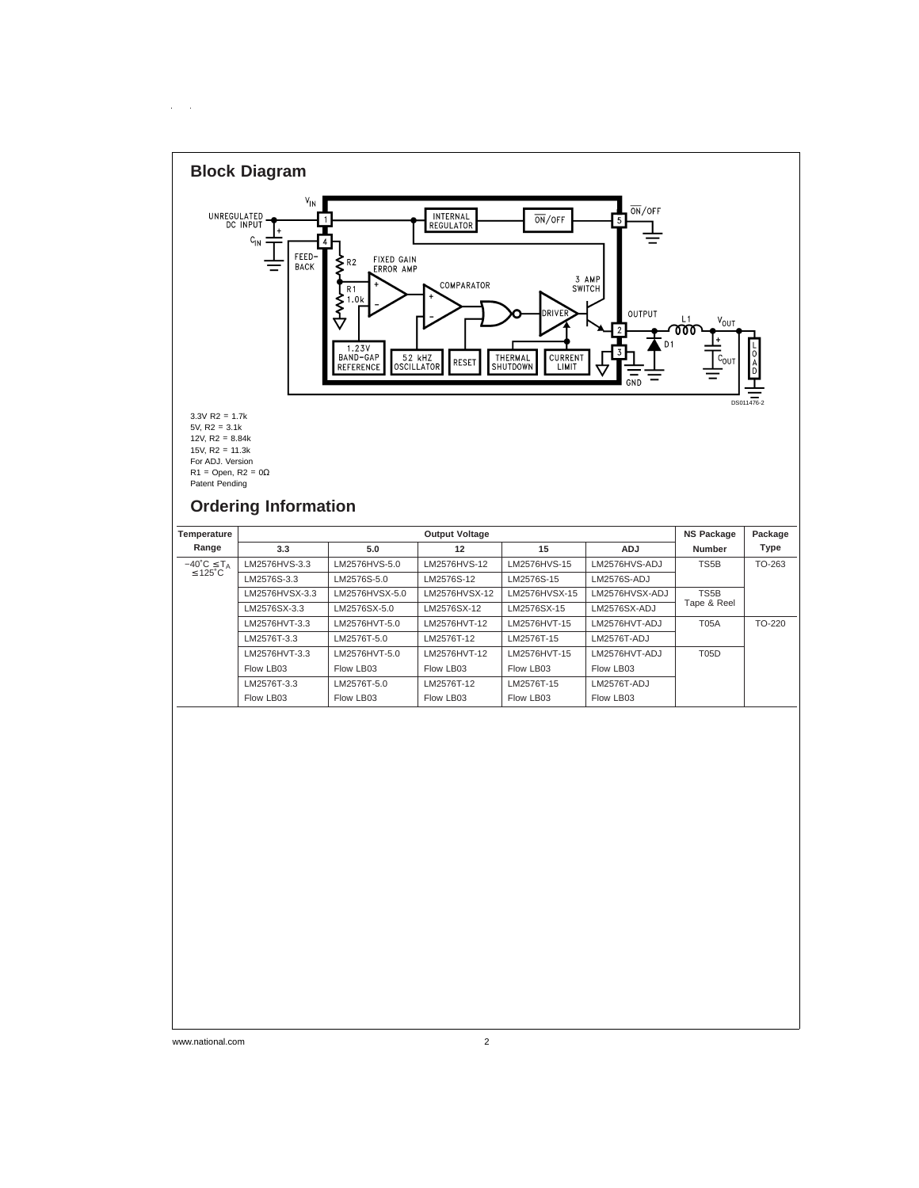

 $\sim$  $\bar{z}$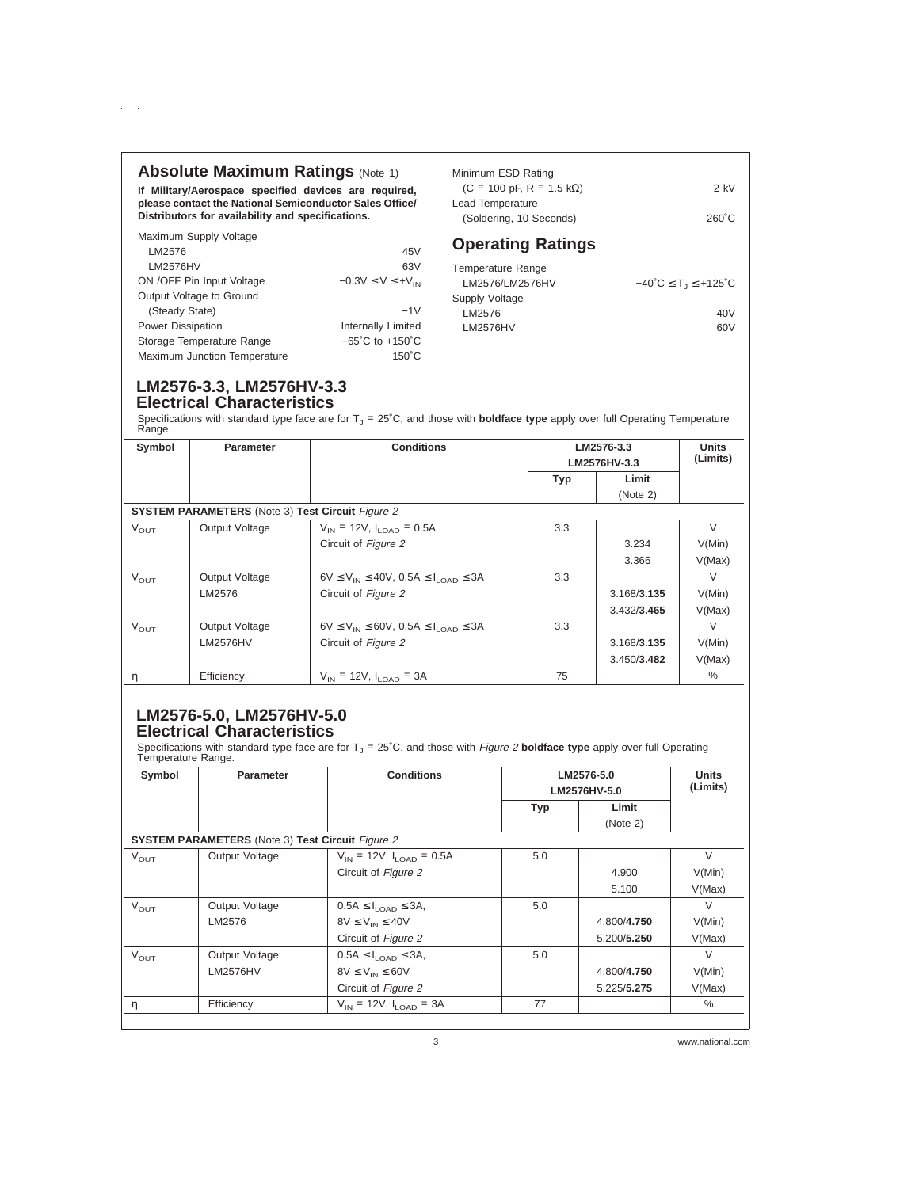# **Absolute Maximum Ratings (Note 1)**

**If Military/Aerospace specified devices are required, please contact the National Semiconductor Sales Office/ Distributors for availability and specifications.**

LM2576 45V LM2576HV 63V  $\overline{ON}$  /OFF Pin Input Voltage  $-0.3V \le V \le +V_{IN}$ 

(Steady State) −1V Power Dissipation **Internally Limited** Storage Temperature Range −65˚C to +150˚C Maximum Junction Temperature 150°C

| Minimum ESD Rating                              |                 |
|-------------------------------------------------|-----------------|
| $(C = 100 \text{ pF}, R = 1.5 \text{ k}\Omega)$ | $2$ kV          |
| Lead Temperature                                |                 |
| (Soldering, 10 Seconds)                         | $260^{\circ}$ C |

# **Operating Ratings**

| <b>Temperature Range</b> |                                                                |
|--------------------------|----------------------------------------------------------------|
| LM2576/LM2576HV          | $-40^{\circ}$ C $\leq$ T <sub>1</sub> $\leq$ +125 $^{\circ}$ C |
| Supply Voltage           |                                                                |
| LM2576                   | 40V                                                            |
| <b>LM2576HV</b>          | 60V                                                            |
|                          |                                                                |

# **LM2576-3.3, LM2576HV-3.3 Electrical Characteristics**

Maximum Supply Voltage

 $\alpha=1$ 

Output Voltage to Ground

Specifications with standard type face are for T<sub>J</sub> = 25˚C, and those with **boldface type** apply over full Operating Temperature<br>Range.

| Symbol           | <b>Parameter</b>                                        | <b>Conditions</b>                                         | LM2576-3.3<br>LM2576HV-3.3 |             | <b>Units</b><br>(Limits) |
|------------------|---------------------------------------------------------|-----------------------------------------------------------|----------------------------|-------------|--------------------------|
|                  |                                                         |                                                           |                            |             |                          |
|                  |                                                         |                                                           | <b>Typ</b>                 | Limit       |                          |
|                  |                                                         |                                                           |                            | (Note 2)    |                          |
|                  | <b>SYSTEM PARAMETERS</b> (Note 3) Test Circuit Figure 2 |                                                           |                            |             |                          |
| $V_{\text{OUT}}$ | Output Voltage                                          | $V_{\text{IN}}$ = 12V, $I_{\text{LOAD}}$ = 0.5A           | 3.3                        |             | $\vee$                   |
|                  |                                                         | Circuit of Figure 2                                       |                            | 3.234       | V(Min)                   |
|                  |                                                         |                                                           |                            | 3.366       | V(Max)                   |
| $V_{\text{OUT}}$ | Output Voltage                                          | $6V \le V_{IN} \le 40V$ , 0.5A $\le I_{I, OAD} \le 3A$    | 3.3                        |             | $\vee$                   |
|                  | LM2576                                                  | Circuit of Figure 2                                       |                            | 3.168/3.135 | V(Min)                   |
|                  |                                                         |                                                           |                            | 3.432/3.465 | V(Max)                   |
| $V_{\text{OUT}}$ | Output Voltage                                          | $6V \le V_{IN} \le 60V$ , 0.5A $\le I_{I \cap AD} \le 3A$ | 3.3                        |             | $\vee$                   |
|                  | <b>LM2576HV</b>                                         | Circuit of Figure 2                                       |                            | 3.168/3.135 | V(Min)                   |
|                  |                                                         |                                                           |                            | 3.450/3.482 | V(Max)                   |
| $\eta$           | Efficiency                                              | $V_{\text{IN}}$ = 12V, $I_{\text{LOAD}}$ = 3A             | 75                         |             | $\%$                     |

# **LM2576-5.0, LM2576HV-5.0 Electrical Characteristics**

Specifications with standard type face are for T<sub>J</sub> = 25˚C, and those with *Figure 2* boldface type apply over full Operating<br>Temperature Range.

| Symbol           | <b>Parameter</b>                                        | <b>Conditions</b>                               | LM2576-5.0<br>LM2576HV-5.0 | <b>Units</b><br>(Limits) |        |
|------------------|---------------------------------------------------------|-------------------------------------------------|----------------------------|--------------------------|--------|
|                  |                                                         |                                                 | <b>Typ</b>                 | Limit                    |        |
|                  |                                                         |                                                 |                            | (Note 2)                 |        |
|                  | <b>SYSTEM PARAMETERS</b> (Note 3) Test Circuit Figure 2 |                                                 |                            |                          |        |
| $V_{\text{OUT}}$ | Output Voltage                                          | $V_{\text{IN}}$ = 12V, $I_{\text{LOAD}}$ = 0.5A | 5.0                        |                          | $\vee$ |
|                  |                                                         | Circuit of Figure 2                             |                            | 4.900                    | V(Min) |
|                  |                                                         |                                                 |                            | 5.100                    | V(Max) |
| $V_{\text{OUT}}$ | Output Voltage                                          | $0.5A \leq I_{\text{LOAD}} \leq 3A$ ,           | 5.0                        |                          | $\vee$ |
|                  | LM2576                                                  | $8V \leq V_{IN} \leq 40V$                       |                            | 4.800/4.750              | V(Min) |
|                  |                                                         | Circuit of Figure 2                             |                            | 5.200/5.250              | V(Max) |
| $V_{\text{OUT}}$ | Output Voltage                                          | $0.5A \leq I_{1.0AD} \leq 3A$ ,                 | 5.0                        |                          | $\vee$ |
|                  | <b>LM2576HV</b>                                         | $8V \leq V_{IN} \leq 60V$                       |                            | 4.800/4.750              | V(Min) |
|                  |                                                         | Circuit of Figure 2                             |                            | 5.225/5.275              | V(Max) |
| η                | Efficiency                                              | $V_{\text{IN}}$ = 12V, $I_{\text{LOAD}}$ = 3A   | 77                         |                          | $\%$   |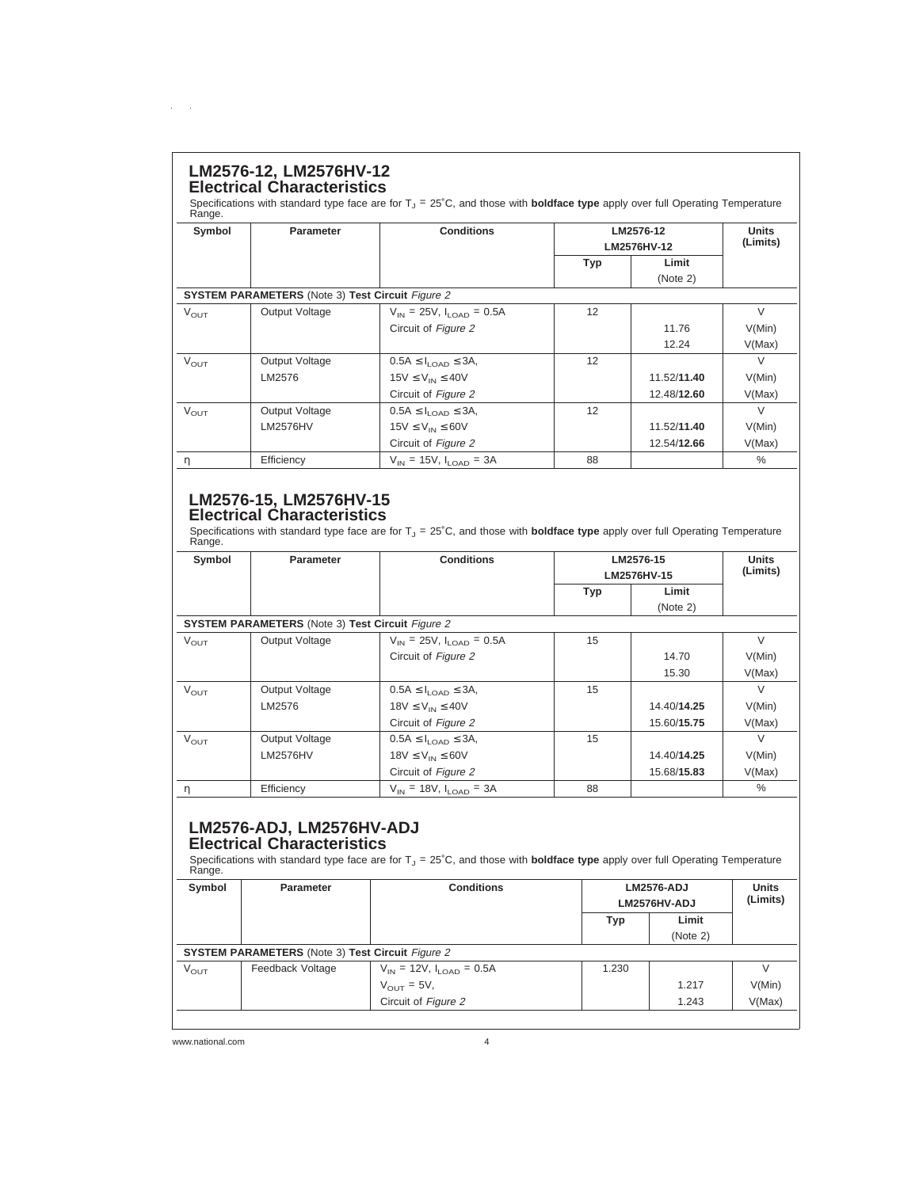# **LM2576-12, LM2576HV-12 Electrical Characteristics**

 $\mathcal{L}^{\text{max}}$ 

Specifications with standard type face are for T<sub>J</sub> = 25°C, and those with **boldface type** apply over full Operating Temperature<br>Range.

| Symbol           | <b>Parameter</b>                                        | <b>Conditions</b>                               | LM2576-12<br>LM2576HV-12 |             | <b>Units</b><br>(Limits) |  |
|------------------|---------------------------------------------------------|-------------------------------------------------|--------------------------|-------------|--------------------------|--|
|                  |                                                         |                                                 | <b>Typ</b>               | Limit       |                          |  |
|                  |                                                         |                                                 |                          | (Note 2)    |                          |  |
|                  | <b>SYSTEM PARAMETERS</b> (Note 3) Test Circuit Figure 2 |                                                 |                          |             |                          |  |
| $V_{\text{OUT}}$ | Output Voltage                                          | $V_{\text{IN}}$ = 25V, $I_{\text{LOAD}}$ = 0.5A | 12                       |             | $\vee$                   |  |
|                  |                                                         | Circuit of Figure 2                             |                          | 11.76       | V(Min)                   |  |
|                  |                                                         |                                                 |                          | 12.24       | V(Max)                   |  |
| $V_{\text{OUT}}$ | Output Voltage                                          | $0.5A \leq I_{\text{LOAD}} \leq 3A$ ,           | 12                       |             | $\vee$                   |  |
|                  | LM2576                                                  | $15V \leq V_{IN} \leq 40V$                      |                          | 11.52/11.40 | V(Min)                   |  |
|                  |                                                         | Circuit of Figure 2                             |                          | 12.48/12.60 | V(Max)                   |  |
| $V_{\text{OUT}}$ | Output Voltage                                          | $0.5A \leq I_{1.0AD} \leq 3A$                   | 12                       |             | $\vee$                   |  |
|                  | LM2576HV                                                | $15V \leq V_{IN} \leq 60V$                      |                          | 11.52/11.40 | V(Min)                   |  |
|                  |                                                         | Circuit of Figure 2                             |                          | 12.54/12.66 | V(Max)                   |  |
| η                | Efficiency                                              | $V_{IN}$ = 15V, $I_{I OAD}$ = 3A                | 88                       |             | $\%$                     |  |

# **LM2576-15, LM2576HV-15 Electrical Characteristics**

Specifications with standard type face are for T<sub>J</sub> = 25˚C, and those with **boldface type** apply over full Operating Temperature<br>Range.

| Symbol           | <b>Parameter</b>                                        | <b>Conditions</b>                               |             | LM2576-15   |               |  |
|------------------|---------------------------------------------------------|-------------------------------------------------|-------------|-------------|---------------|--|
|                  |                                                         |                                                 | LM2576HV-15 |             | (Limits)      |  |
|                  |                                                         |                                                 | <b>Typ</b>  | Limit       |               |  |
|                  |                                                         |                                                 |             | (Note 2)    |               |  |
|                  | <b>SYSTEM PARAMETERS</b> (Note 3) Test Circuit Figure 2 |                                                 |             |             |               |  |
| $V_{\text{OUT}}$ | Output Voltage                                          | $V_{\text{IN}}$ = 25V, $I_{\text{LOAD}}$ = 0.5A | 15          |             | $\vee$        |  |
|                  |                                                         | Circuit of Figure 2                             |             | 14.70       | V(Min)        |  |
|                  |                                                         |                                                 |             | 15.30       | V(Max)        |  |
| $V_{\text{OUT}}$ | Output Voltage                                          | $0.5A \leq I_{1.0AD} \leq 3A$                   | 15          |             | $\vee$        |  |
|                  | LM2576                                                  | $18V \leq V_{IN} \leq 40V$                      |             | 14.40/14.25 | V(Min)        |  |
|                  |                                                         | Circuit of Figure 2                             |             | 15.60/15.75 | V(Max)        |  |
| $V_{\text{OUT}}$ | Output Voltage                                          | $0.5A \leq I_{1.0AD} \leq 3A$                   | 15          |             | $\vee$        |  |
|                  | <b>LM2576HV</b>                                         | $18V \leq V_{IN} \leq 60V$                      |             | 14.40/14.25 | V(Min)        |  |
|                  |                                                         | Circuit of Figure 2                             |             | 15.68/15.83 | V(Max)        |  |
| η                | Efficiency                                              | $V_{IN}$ = 18V, $I_{I, OAD}$ = 3A               | 88          |             | $\frac{0}{0}$ |  |

# **LM2576-ADJ, LM2576HV-ADJ Electrical Characteristics**

Specifications with standard type face are for T<sub>J</sub> = 25˚C, and those with **boldface type** apply over full Operating Temperature<br>Range.

| Symbol           | Parameter                                               | <b>Conditions</b>                               | <b>LM2576-ADJ</b><br>LM2576HV-ADJ |          | <b>Units</b><br>(Limits) |
|------------------|---------------------------------------------------------|-------------------------------------------------|-----------------------------------|----------|--------------------------|
|                  |                                                         |                                                 | <b>Typ</b>                        | Limit    |                          |
|                  |                                                         |                                                 |                                   | (Note 2) |                          |
|                  | <b>SYSTEM PARAMETERS</b> (Note 3) Test Circuit Figure 2 |                                                 |                                   |          |                          |
| $V_{\text{OUT}}$ | Feedback Voltage                                        | $V_{\text{IN}}$ = 12V, $I_{\text{LOAD}}$ = 0.5A | 1.230                             |          |                          |
|                  |                                                         | $V_{\text{OUT}} = 5V$ ,                         |                                   | 1.217    | V(Min)                   |
|                  |                                                         | Circuit of Figure 2                             |                                   | 1.243    | V(Max)                   |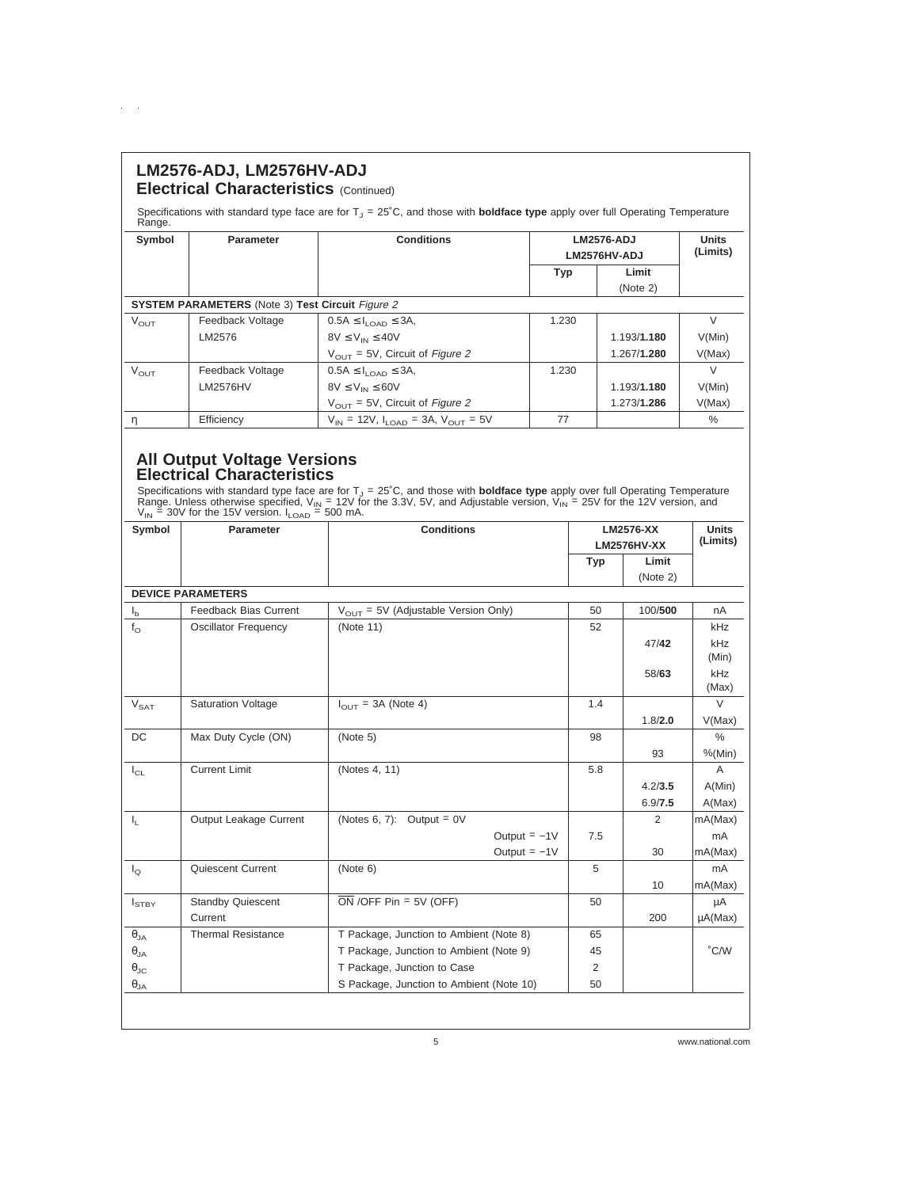| LM2576-ADJ, LM2576HV-ADJ<br><b>Electrical Characteristics (Continued)</b> |                                                         |                                                                                                                                               |       |                   |              |  |
|---------------------------------------------------------------------------|---------------------------------------------------------|-----------------------------------------------------------------------------------------------------------------------------------------------|-------|-------------------|--------------|--|
| Range.                                                                    |                                                         | Specifications with standard type face are for $T1 = 25^{\circ}$ C, and those with <b>boldface type</b> apply over full Operating Temperature |       |                   |              |  |
| Symbol                                                                    | <b>Parameter</b>                                        | <b>Conditions</b>                                                                                                                             |       | <b>LM2576-ADJ</b> | <b>Units</b> |  |
|                                                                           |                                                         |                                                                                                                                               |       | LM2576HV-ADJ      | (Limits)     |  |
|                                                                           |                                                         |                                                                                                                                               | Typ   | Limit             |              |  |
|                                                                           |                                                         |                                                                                                                                               |       | (Note 2)          |              |  |
|                                                                           | <b>SYSTEM PARAMETERS</b> (Note 3) Test Circuit Figure 2 |                                                                                                                                               |       |                   |              |  |
| $V_{\text{OUT}}$                                                          | Feedback Voltage                                        | $0.5A \leq I_{1.0AD} \leq 3A$ ,                                                                                                               | 1.230 |                   | $\vee$       |  |
|                                                                           | LM2576                                                  | $8V \leq V_{IN} \leq 40V$                                                                                                                     |       | 1.193/1.180       | V(Min)       |  |
|                                                                           |                                                         | $V_{\text{OUT}}$ = 5V, Circuit of Figure 2                                                                                                    |       | 1.267/1.280       | V(Max)       |  |
| $V_{\text{OUT}}$                                                          | Feedback Voltage                                        | $0.5A \leq I_{1.0AD} \leq 3A$ ,                                                                                                               | 1.230 |                   | $\vee$       |  |
|                                                                           | <b>LM2576HV</b>                                         | $8V \leq V_{IN} \leq 60V$                                                                                                                     |       | 1.193/1.180       | V(Min)       |  |
|                                                                           |                                                         | $V_{\text{OUT}}$ = 5V, Circuit of Figure 2                                                                                                    |       | 1.273/1.286       | V(Max)       |  |
| η                                                                         | Efficiency                                              | $V_{IN}$ = 12V, $I_{I OAD}$ = 3A, $V_{OUT}$ = 5V                                                                                              | 77    |                   | $\%$         |  |

# **All Output Voltage Versions Electrical Characteristics**

 $\Delta \sim 100$ 

Specifications with standard type face are for T<sub>J</sub> = 25°C, and those with **boldface type** apply over full Operating Temperature<br>Range. Unless otherwise specified, V<sub>IN</sub> = 12V for the 3.3V, 5V, and Adjustable version, V<sub>I</sub>

| Symbol                      | Parameter                   | <b>Conditions</b>                        | <b>LM2576-XX</b><br><b>LM2576HV-XX</b> |          | <b>Units</b><br>(Limits) |
|-----------------------------|-----------------------------|------------------------------------------|----------------------------------------|----------|--------------------------|
|                             |                             |                                          | Typ                                    | Limit    |                          |
|                             |                             |                                          |                                        | (Note 2) |                          |
|                             | <b>DEVICE PARAMETERS</b>    |                                          |                                        |          |                          |
| $I_{b}$                     | Feedback Bias Current       | $V_{OUT}$ = 5V (Adjustable Version Only) | 50                                     | 100/500  | nA                       |
| $f_{\Omega}$                | <b>Oscillator Frequency</b> | (Note 11)                                | 52                                     |          | kHz                      |
|                             |                             |                                          |                                        | 47/42    | kHz                      |
|                             |                             |                                          |                                        |          | (Min)                    |
|                             |                             |                                          |                                        | 58/63    | kHz                      |
|                             |                             |                                          | 1.4                                    |          | (Max)<br>$\vee$          |
| $\mathsf{V}_{\mathsf{SAT}}$ | <b>Saturation Voltage</b>   | $I_{OUT}$ = 3A (Note 4)                  |                                        |          |                          |
|                             |                             |                                          |                                        | 1.8/2.0  | V(Max)                   |
| DC                          | Max Duty Cycle (ON)         | (Note 5)                                 | 98                                     |          | $\frac{0}{0}$            |
|                             |                             |                                          |                                        | 93       | % (Min)                  |
| $I_{CL}$                    | <b>Current Limit</b>        | (Notes 4, 11)                            | 5.8                                    |          | $\overline{A}$           |
|                             |                             |                                          |                                        | 4.2/3.5  | A(Min)                   |
|                             |                             |                                          |                                        | 6.9/7.5  | A(Max)                   |
| $\mathbf{I}_{\rm L}$        | Output Leakage Current      | (Notes 6, 7): Output = $0V$              |                                        | 2        | mA(Max)                  |
|                             |                             | Output $= -1$ V                          | 7.5                                    |          | mA                       |
|                             |                             | Output = $-1V$                           |                                        | 30       | mA(Max)                  |
| $I_{\Omega}$                | Quiescent Current           | (Note 6)                                 | 5                                      |          | mA                       |
|                             |                             |                                          |                                        | 10       | mA(Max)                  |
| $I_{STBY}$                  | <b>Standby Quiescent</b>    | $\overline{ON}$ /OFF Pin = 5V (OFF)      | 50                                     |          | μA                       |
|                             | Current                     |                                          |                                        | 200      | $\mu A(Max)$             |
| $\theta_{JA}$               | <b>Thermal Resistance</b>   | T Package, Junction to Ambient (Note 8)  | 65                                     |          |                          |
| $\theta_{JA}$               |                             | T Package, Junction to Ambient (Note 9)  | 45                                     |          | °C/W                     |
| $\theta_{\text{JC}}$        |                             | T Package, Junction to Case              | 2                                      |          |                          |
| $\theta_{\mathsf{JA}}$      |                             | S Package, Junction to Ambient (Note 10) | 50                                     |          |                          |
|                             |                             |                                          |                                        |          |                          |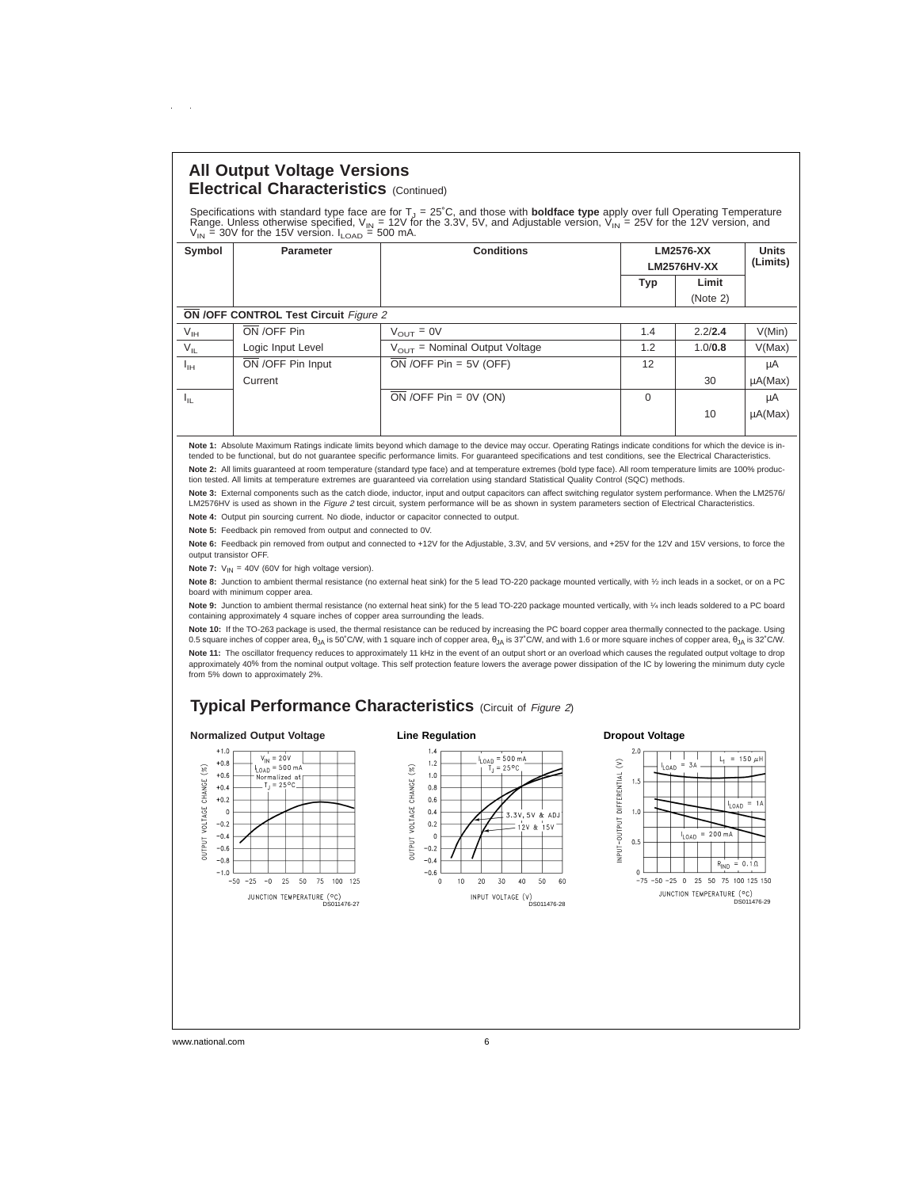# **All Output Voltage Versions Electrical Characteristics** (Continued)

 $\sim$ 

Specifications with standard type face are for T<sub>J</sub> = 25°C, and those with **boldface type** apply over full Operating Temperature<br>Range. Unless otherwise specified, V<sub>IN</sub> = 12V for the 3.3V, 5V, and Adjustable version, V<sub>I</sub>

| Symbol       | Parameter                                    | <b>Conditions</b>                         | LM2576-XX<br>LM2576HV-XX |          | <b>Units</b><br>(Limits) |
|--------------|----------------------------------------------|-------------------------------------------|--------------------------|----------|--------------------------|
|              |                                              |                                           | Typ                      | Limit    |                          |
|              |                                              |                                           |                          | (Note 2) |                          |
|              | <b>ON /OFF CONTROL Test Circuit Figure 2</b> |                                           |                          |          |                          |
| $V_{IH}$     | ON /OFF Pin                                  | $V_{OUT} = 0V$                            | 1.4                      | 2.2/2.4  | V(Min)                   |
| $V_{IL}$     | Logic Input Level                            | $V_{\text{OUT}}$ = Nominal Output Voltage | 1.2                      | 1.0/0.8  | V(Max)                   |
| $I_{\rm IH}$ | ON /OFF Pin Input                            | $ON$ /OFF Pin = 5V (OFF)                  | 12                       |          | μA                       |
|              | Current                                      |                                           |                          | 30       | $\mu A(Max)$             |
| Ιų           |                                              | $\overline{ON}$ /OFF Pin = 0V (ON)        | $\Omega$                 |          | μA                       |
|              |                                              |                                           |                          | 10       | $\mu A(Max)$             |

**Note 1:** Absolute Maximum Ratings indicate limits beyond which damage to the device may occur. Operating Ratings indicate conditions for which the device is in-<br>tended to be functional, but do not guarantee specific perfo Note 2: All limits guaranteed at room temperature (standard type face) and at temperature extremes (bold type face). All room temperature limits are 100% produc-<br>tion tested. All limits at temperature extremes are guarante

**Note 3:** External components such as the catch diode, inductor, input and output capacitors can affect switching regulator system performance. When the LM2576/ LM2576HV is used as shown in the Figure 2 test circuit, system performance will be as shown in system parameters section of Electrical Characteristics.

**Note 4:** Output pin sourcing current. No diode, inductor or capacitor connected to output.

**Note 5:** Feedback pin removed from output and connected to 0V.

Note 6: Feedback pin removed from output and connected to +12V for the Adjustable, 3.3V, and 5V versions, and +25V for the 12V and 15V versions, to force the output transistor OFF.

**Note 7:**  $V_{IN} = 40V$  (60V for high voltage version).

**Note 8:** Junction to ambient thermal resistance (no external heat sink) for the 5 lead TO-220 package mounted vertically, with 1⁄2 inch leads in a socket, or on a PC board with minimum copper area.

Note 9: Junction to ambient thermal resistance (no external heat sink) for the 5 lead TO-220 package mounted vertically, with 1/4 inch leads soldered to a PC board containing approximately 4 square inches of copper area surrounding the leads.

**Note 10:** If the TO-263 package is used, the thermal resistance can be reduced by increasing the PC board copper area thermally connected to the package. Using 0.5 square inches of copper area,  $\theta_{JA}$  is 50°C/W, with 1 square inch of copper area,  $\theta_{JA}$  is 37°C/W, and with 1.6 or more square inches of copper area,  $\theta_{JA}$  is 32°C/W. Note 11: The oscillator frequency reduces to approximately 11 kHz in the event of an output short or an overload which causes the regulated output voltage to drop approximately 40% from the nominal output voltage. This self protection feature lowers the average power dissipation of the IC by lowering the minimum duty cycle from 5% down to approximately 2%.

# **Typical Performance Characteristics** (Circuit of Figure 2)

#### **Normalized Output Voltage**

### **Line Regulation**

**Dropout Voltage**

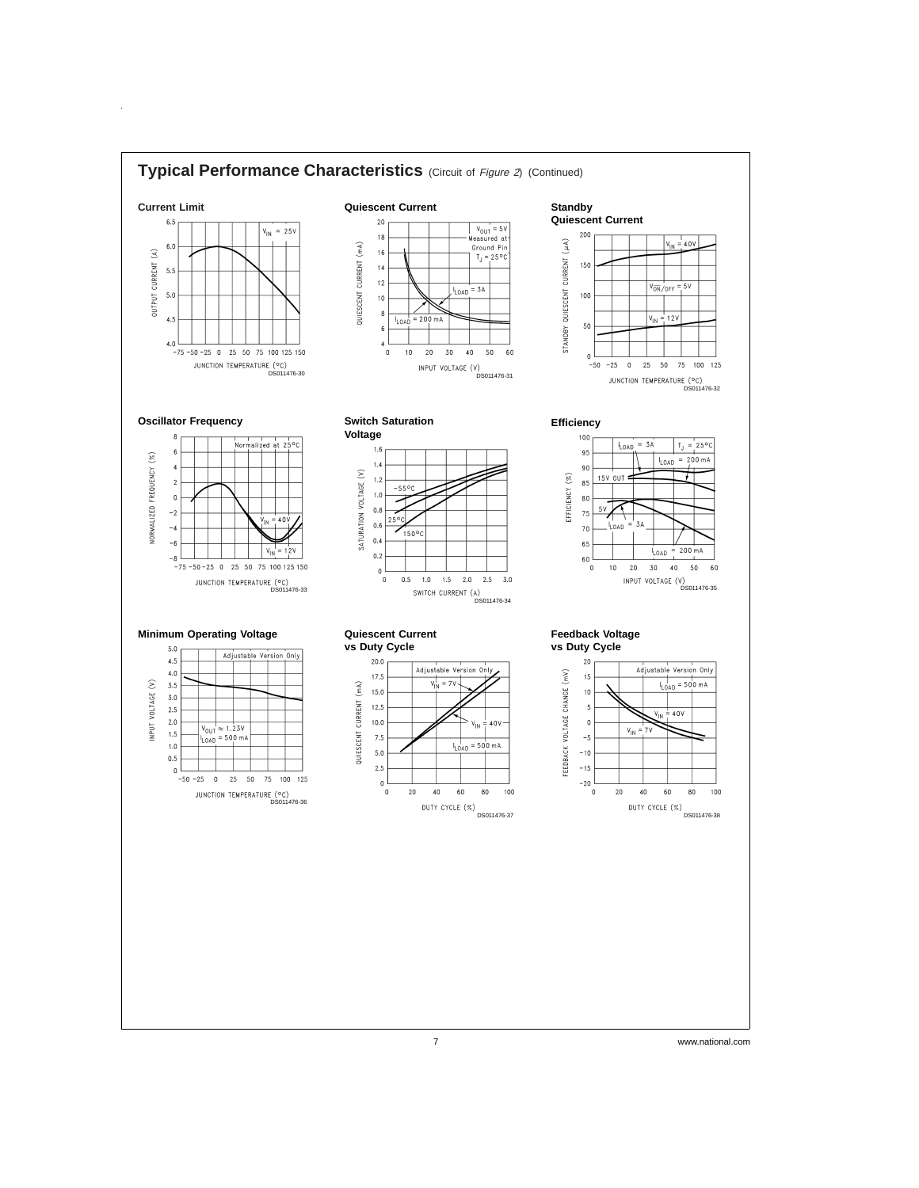

 $\hat{\mathbf{r}}$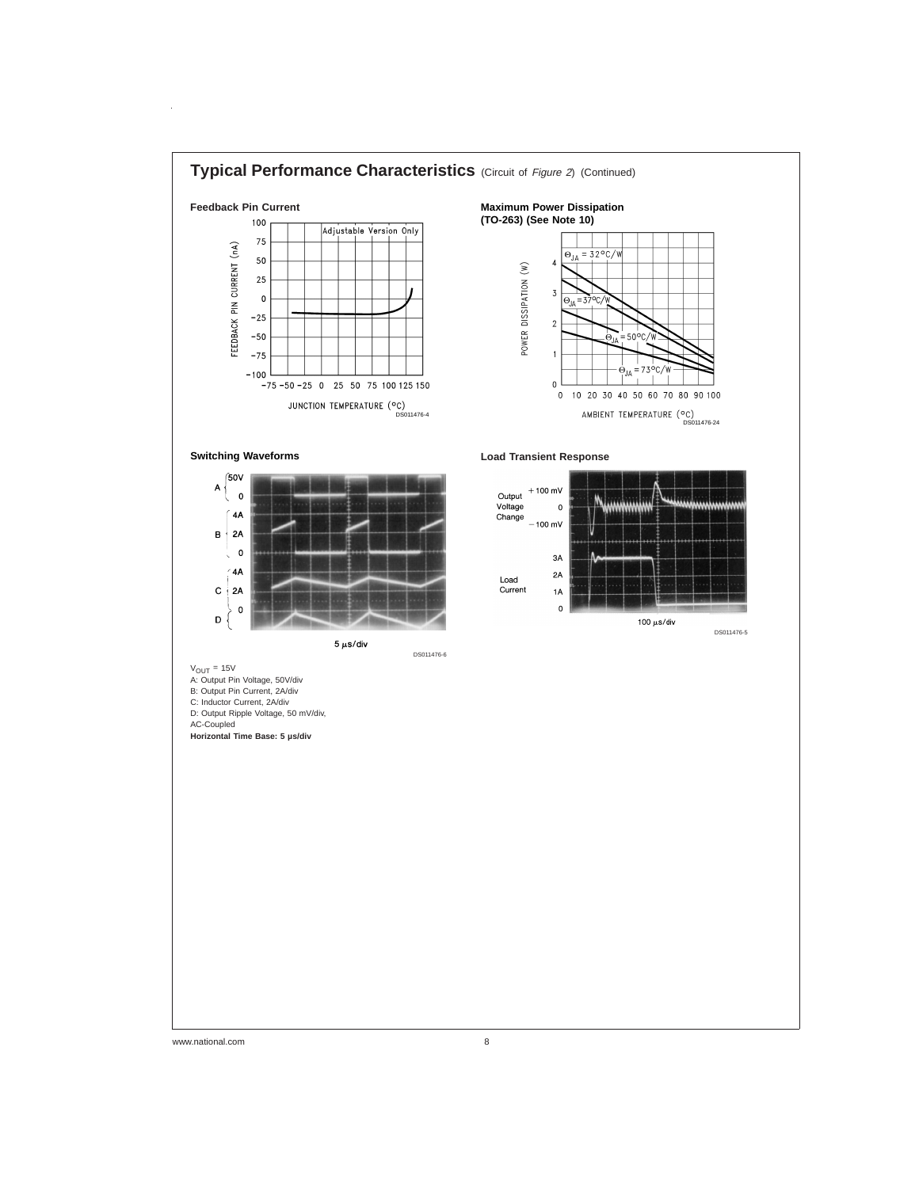

www.national.com 8

 $\hat{\boldsymbol{\alpha}}$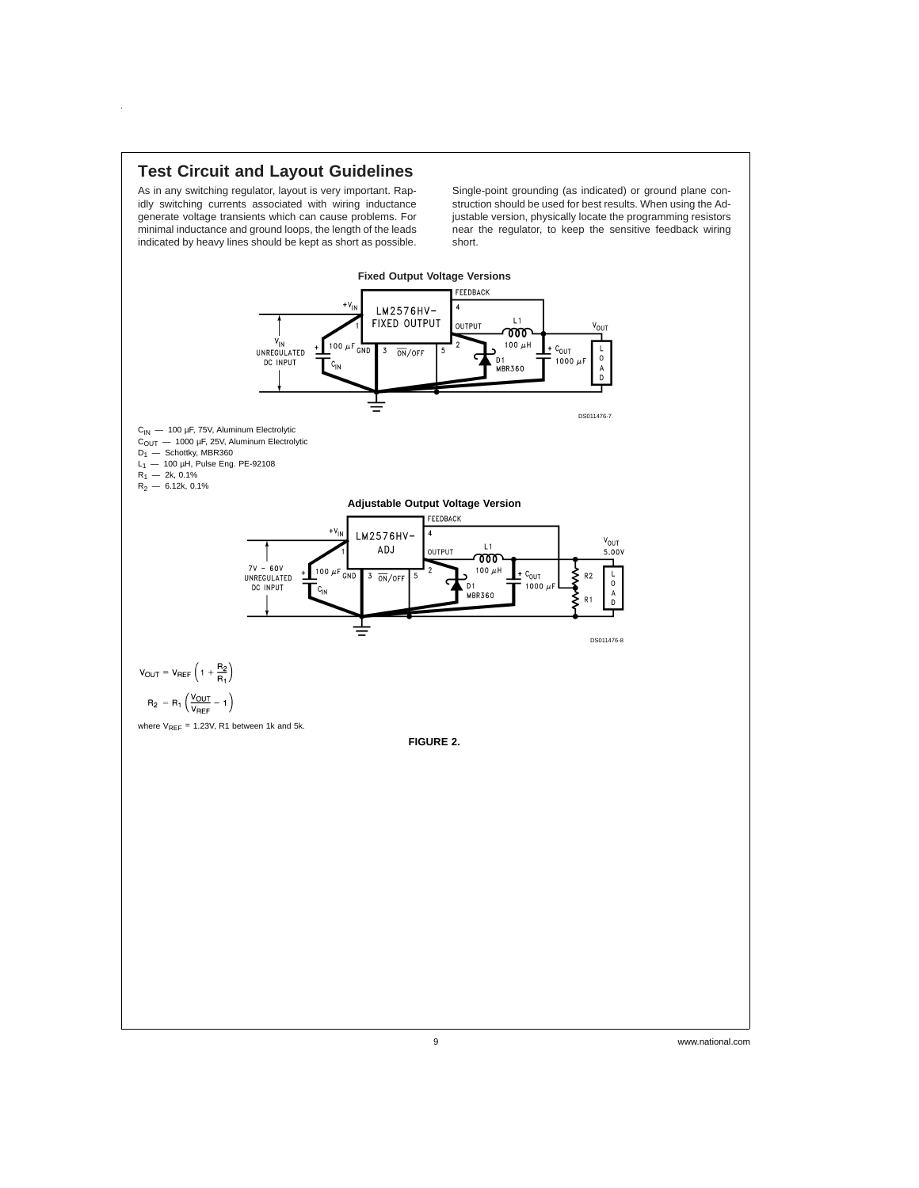

 $\hat{\boldsymbol{\theta}}$ 

As in any switching regulator, layout is very important. Rapidly switching currents associated with wiring inductance generate voltage transients which can cause problems. For minimal inductance and ground loops, the length of the leads indicated by heavy lines should be kept as short as possible.

Single-point grounding (as indicated) or ground plane construction should be used for best results. When using the Adjustable version, physically locate the programming resistors near the regulator, to keep the sensitive feedback wiring short.

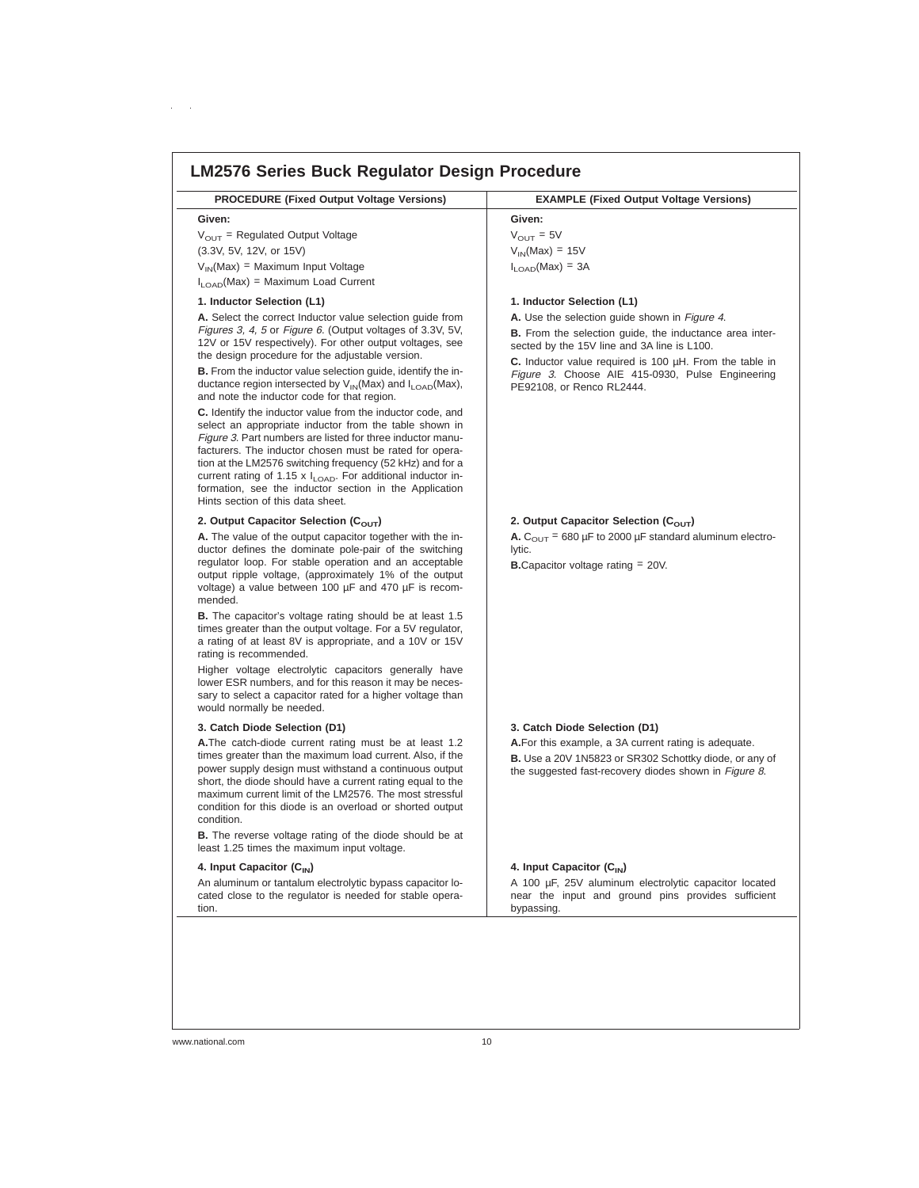| <b>PROCEDURE (Fixed Output Voltage Versions)</b>                                                                                                                                                                                                                                                                                                                                                                                                                                                                                                                                                                                                                                                                                                                                                                                                                                 | <b>EXAMPLE (Fixed Output Voltage Versions)</b>                                                                                                                                                                                                                                                                  |
|----------------------------------------------------------------------------------------------------------------------------------------------------------------------------------------------------------------------------------------------------------------------------------------------------------------------------------------------------------------------------------------------------------------------------------------------------------------------------------------------------------------------------------------------------------------------------------------------------------------------------------------------------------------------------------------------------------------------------------------------------------------------------------------------------------------------------------------------------------------------------------|-----------------------------------------------------------------------------------------------------------------------------------------------------------------------------------------------------------------------------------------------------------------------------------------------------------------|
| Given:                                                                                                                                                                                                                                                                                                                                                                                                                                                                                                                                                                                                                                                                                                                                                                                                                                                                           | Given:                                                                                                                                                                                                                                                                                                          |
| $V_{\text{OUT}}$ = Regulated Output Voltage                                                                                                                                                                                                                                                                                                                                                                                                                                                                                                                                                                                                                                                                                                                                                                                                                                      | $V_{\text{OUT}} = 5V$                                                                                                                                                                                                                                                                                           |
| (3.3V, 5V, 12V, or 15V)                                                                                                                                                                                                                                                                                                                                                                                                                                                                                                                                                                                                                                                                                                                                                                                                                                                          | $V_{IN}(Max) = 15V$                                                                                                                                                                                                                                                                                             |
| $V_{IN}(Max) = Maximum Input Voltage$                                                                                                                                                                                                                                                                                                                                                                                                                                                                                                                                                                                                                                                                                                                                                                                                                                            | $I_{\text{LOAD}}(Max) = 3A$                                                                                                                                                                                                                                                                                     |
| $I_{\text{LOAD}}(Max)$ = Maximum Load Current                                                                                                                                                                                                                                                                                                                                                                                                                                                                                                                                                                                                                                                                                                                                                                                                                                    |                                                                                                                                                                                                                                                                                                                 |
| 1. Inductor Selection (L1)                                                                                                                                                                                                                                                                                                                                                                                                                                                                                                                                                                                                                                                                                                                                                                                                                                                       | 1. Inductor Selection (L1)                                                                                                                                                                                                                                                                                      |
| A. Select the correct Inductor value selection guide from<br>Figures 3, 4, 5 or Figure 6. (Output voltages of 3.3V, 5V,<br>12V or 15V respectively). For other output voltages, see<br>the design procedure for the adjustable version.<br><b>B.</b> From the inductor value selection guide, identify the in-<br>ductance region intersected by $V_{IN}(Max)$ and $I_{LOAD}(Max)$ ,<br>and note the inductor code for that region.<br>C. Identify the inductor value from the inductor code, and<br>select an appropriate inductor from the table shown in<br>Figure 3. Part numbers are listed for three inductor manu-<br>facturers. The inductor chosen must be rated for opera-<br>tion at the LM2576 switching frequency (52 kHz) and for a<br>current rating of 1.15 x $I_{1OAD}$ . For additional inductor in-<br>formation, see the inductor section in the Application | A. Use the selection guide shown in Figure 4.<br><b>B.</b> From the selection quide, the inductance area inter-<br>sected by the 15V line and 3A line is L100.<br>C. Inductor value required is 100 $\mu$ H. From the table in<br>Figure 3. Choose AIE 415-0930, Pulse Engineering<br>PE92108, or Renco RL2444. |
| Hints section of this data sheet.<br>2. Output Capacitor Selection ( $C_{\text{OUT}}$ )<br>A. The value of the output capacitor together with the in-<br>ductor defines the dominate pole-pair of the switching<br>regulator loop. For stable operation and an acceptable<br>output ripple voltage, (approximately 1% of the output<br>voltage) a value between 100 µF and 470 µF is recom-<br>mended.<br><b>B.</b> The capacitor's voltage rating should be at least 1.5                                                                                                                                                                                                                                                                                                                                                                                                        | 2. Output Capacitor Selection ( $C_{\text{OUT}}$ )<br>A. $C_{\text{OUT}}$ = 680 µF to 2000 µF standard aluminum electro-<br>lytic.<br><b>B.</b> Capacitor voltage rating $= 20V$ .                                                                                                                              |
| times greater than the output voltage. For a 5V regulator,<br>a rating of at least 8V is appropriate, and a 10V or 15V<br>rating is recommended.<br>Higher voltage electrolytic capacitors generally have<br>lower ESR numbers, and for this reason it may be neces-<br>sary to select a capacitor rated for a higher voltage than<br>would normally be needed.                                                                                                                                                                                                                                                                                                                                                                                                                                                                                                                  |                                                                                                                                                                                                                                                                                                                 |
| 3. Catch Diode Selection (D1)                                                                                                                                                                                                                                                                                                                                                                                                                                                                                                                                                                                                                                                                                                                                                                                                                                                    | 3. Catch Diode Selection (D1)                                                                                                                                                                                                                                                                                   |
| A. The catch-diode current rating must be at least 1.2<br>times greater than the maximum load current. Also, if the<br>power supply design must withstand a continuous output<br>short, the diode should have a current rating equal to the<br>maximum current limit of the LM2576. The most stressful<br>condition for this diode is an overload or shorted output<br>condition.<br><b>B.</b> The reverse voltage rating of the diode should be at                                                                                                                                                                                                                                                                                                                                                                                                                              | A.For this example, a 3A current rating is adequate.<br><b>B.</b> Use a 20V 1N5823 or SR302 Schottky diode, or any of<br>the suggested fast-recovery diodes shown in Figure 8.                                                                                                                                  |
| least 1.25 times the maximum input voltage.                                                                                                                                                                                                                                                                                                                                                                                                                                                                                                                                                                                                                                                                                                                                                                                                                                      |                                                                                                                                                                                                                                                                                                                 |
| 4. Input Capacitor $(C_{1N})$                                                                                                                                                                                                                                                                                                                                                                                                                                                                                                                                                                                                                                                                                                                                                                                                                                                    | 4. Input Capacitor (C <sub>IN</sub> )                                                                                                                                                                                                                                                                           |
| An aluminum or tantalum electrolytic bypass capacitor lo-<br>cated close to the regulator is needed for stable opera-                                                                                                                                                                                                                                                                                                                                                                                                                                                                                                                                                                                                                                                                                                                                                            | A 100 µF, 25V aluminum electrolytic capacitor located<br>near the input and ground pins provides sufficient<br>bypassing.                                                                                                                                                                                       |

 $\alpha = \alpha$  .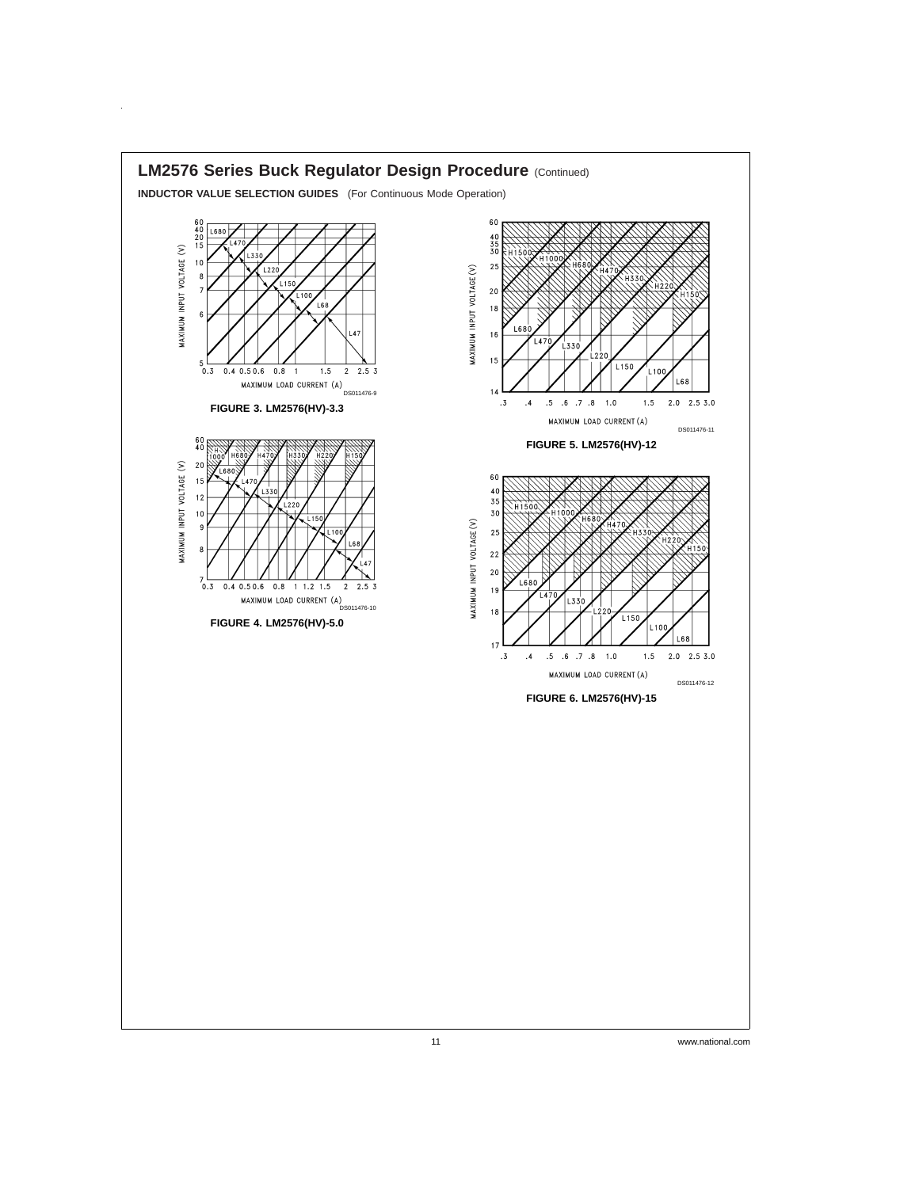

 $\hat{\mathbf{r}}$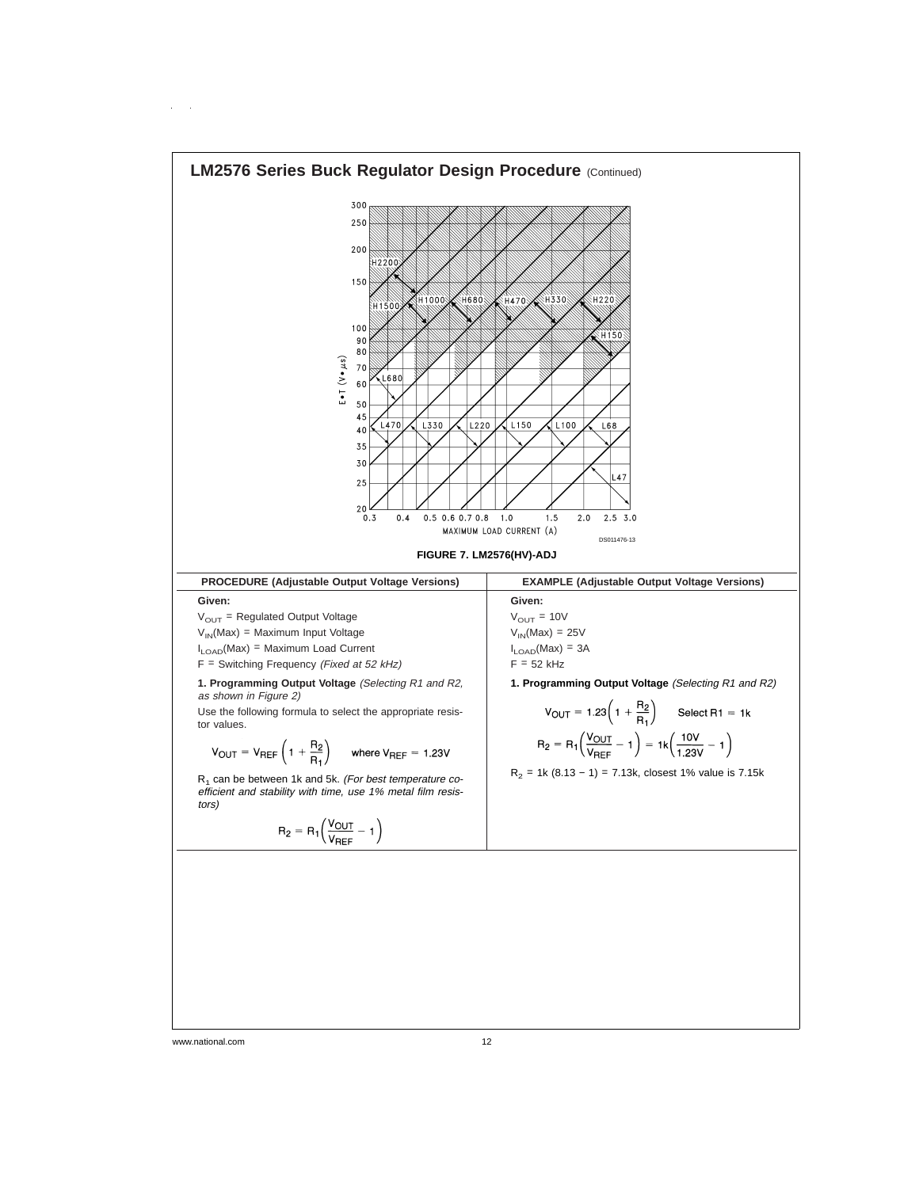

www.national.com 12

 $\sim$   $\sim$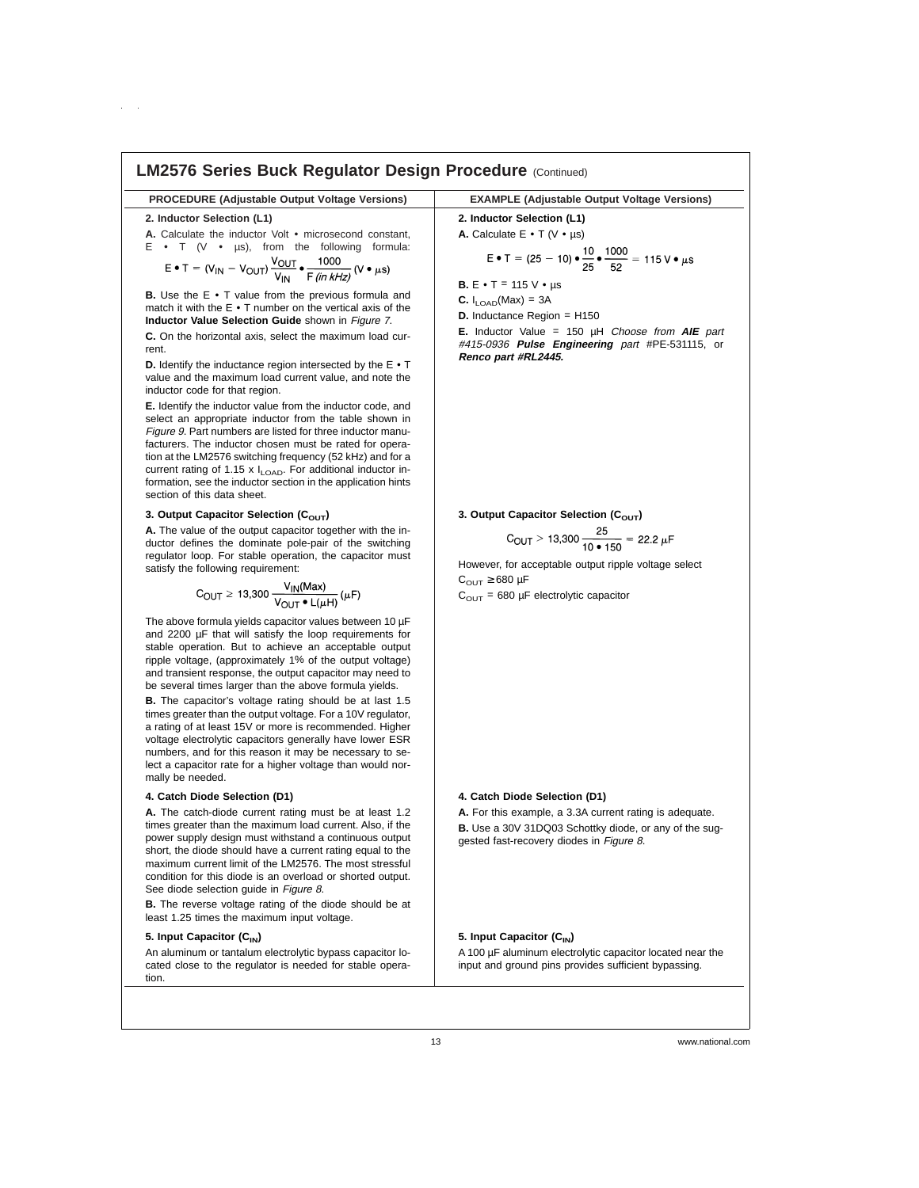#### **LM2576 Series Buck Regulator Design Procedure (Continued) PROCEDURE (Adjustable Output Voltage Versions) EXAMPLE (Adjustable Output Voltage Versions) 2. Inductor Selection (L1) 2. Inductor Selection (L1) A.** Calculate the inductor Volt • microsecond constant, **A.** Calculate E • T (V • µs) E • T (V • µs), from the following formula:<br>  $E \cdot T = (V_{\text{IN}} - V_{\text{OUT}}) \frac{V_{\text{OUT}}}{V_{\text{IN}}} \cdot \frac{1000}{F \text{ (in kHz)}} (V \cdot \mu s)$  $E \bullet T = (25 - 10) \bullet \frac{10}{25} \bullet \frac{1000}{52} = 115 \text{ V} \bullet \mu \text{s}$ **B.**  $E \cdot T = 115$  V  $\cdot \mu s$ **B.** Use the E • T value from the previous formula and **C.**  $I_{\text{LOAD}}(Max) = 3A$ match it with the E • T number on the vertical axis of the **D.** Inductance Region = H150 **Inductor Value Selection Guide** shown in Figure <sup>7</sup>. **E.** Inductor Value = 150 µH Choose from **AIE** part **C.** On the horizontal axis, select the maximum load cur-#415-0936 **Pulse Engineering** part #PE-531115, or rent. **Renco part #RL2445. D.** Identify the inductance region intersected by the E • T value and the maximum load current value, and note the inductor code for that region. **E.** Identify the inductor value from the inductor code, and select an appropriate inductor from the table shown in Figure 9. Part numbers are listed for three inductor manufacturers. The inductor chosen must be rated for operation at the LM2576 switching frequency (52 kHz) and for a current rating of 1.15 x  $I_{\text{LOAD}}$ . For additional inductor information, see the inductor section in the application hints section of this data sheet. 3. Output Capacitor Selection (C<sub>OUT</sub>) **3. Output Capacitor Selection (C<sub>OUT</sub>)<br>**  $C_{\text{OUT}} > 13,300 \frac{25}{10 \cdot 150} = 22.2 \ \mu\text{F}$ **A.** The value of the output capacitor together with the inductor defines the dominate pole-pair of the switching regulator loop. For stable operation, the capacitor must However, for acceptable output ripple voltage select satisfy the following requirement:  $C_{\text{OUT}} \geq 680 \text{ }\mu\text{F}$

$$
C_{\text{OUT}} \ge 13,300 \frac{V_{\text{IN}}(\text{Max})}{V_{\text{OUT}} \cdot L(\mu H)} (\mu F)
$$

The above formula yields capacitor values between 10 µF and 2200 µF that will satisfy the loop requirements for stable operation. But to achieve an acceptable output ripple voltage, (approximately 1% of the output voltage) and transient response, the output capacitor may need to be several times larger than the above formula yields.

**B.** The capacitor's voltage rating should be at last 1.5 times greater than the output voltage. For a 10V regulator, a rating of at least 15V or more is recommended. Higher voltage electrolytic capacitors generally have lower ESR numbers, and for this reason it may be necessary to select a capacitor rate for a higher voltage than would normally be needed.

#### **4. Catch Diode Selection (D1)**

**A.** The catch-diode current rating must be at least 1.2 times greater than the maximum load current. Also, if the power supply design must withstand a continuous output short, the diode should have a current rating equal to the maximum current limit of the LM2576. The most stressful condition for this diode is an overload or shorted output. See diode selection guide in Figure 8.

**B.** The reverse voltage rating of the diode should be at least 1.25 times the maximum input voltage.

#### **5. Input Capacitor (C<sub>IN</sub>)**

An aluminum or tantalum electrolytic bypass capacitor located close to the regulator is needed for stable operation.

### **4. Catch Diode Selection (D1)**

 $C<sub>OUT</sub> = 680 \mu F$  electrolytic capacitor

**A.** For this example, a 3.3A current rating is adequate. **B.** Use a 30V 31DQ03 Schottky diode, or any of the suggested fast-recovery diodes in Figure 8.

# **5. Input Capacitor (C<sub>IN</sub>)**

A 100 µF aluminum electrolytic capacitor located near the input and ground pins provides sufficient bypassing.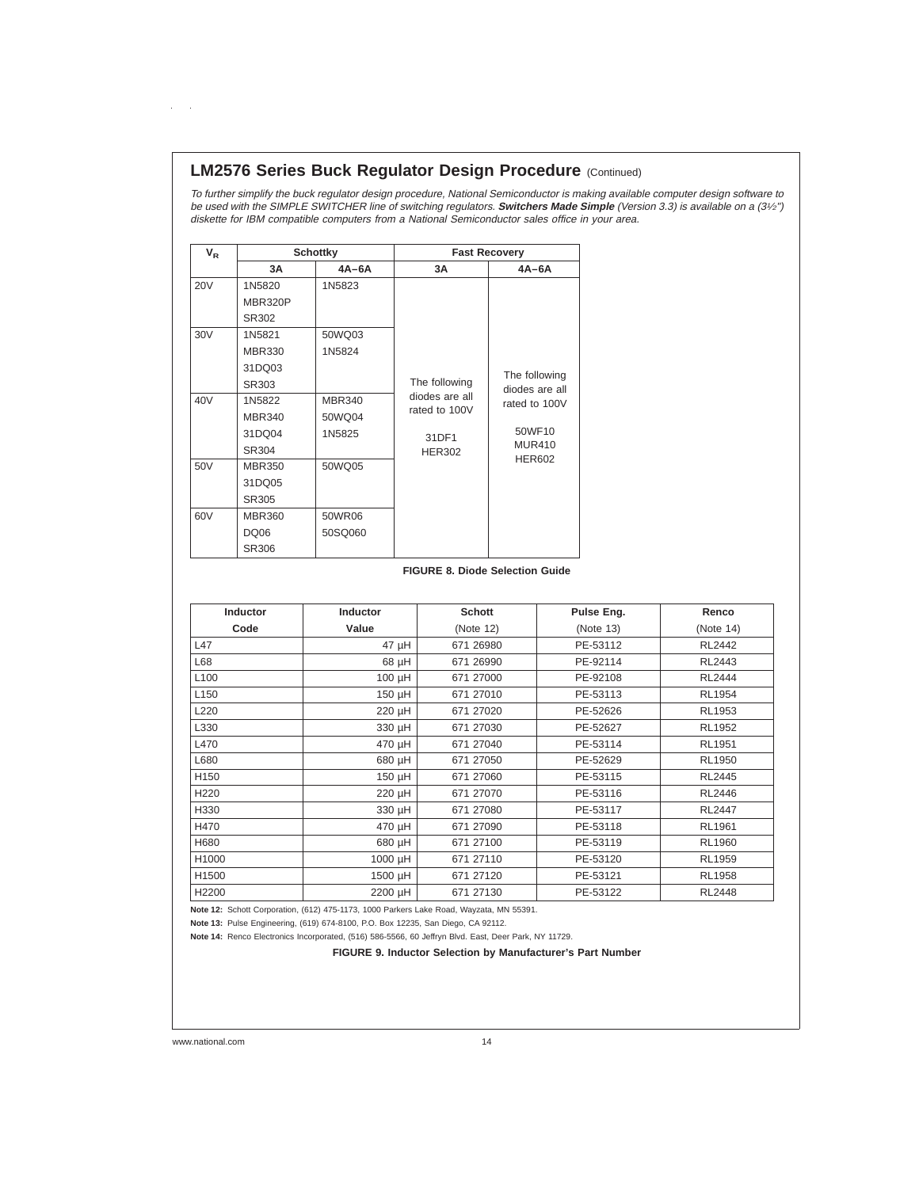# **LM2576 Series Buck Regulator Design Procedure (Continued)**

To further simplify the buck regulator design procedure, National Semiconductor is making available computer design software to be used with the SIMPLE SWITCHER line of switching regulators. **Switchers Made Simple** (Version 3.3) is available on <sup>a</sup> (31⁄2") diskette for IBM compatible computers from <sup>a</sup> National Semiconductor sales office in your area.

| $V_{R}$    |               | <b>Schottky</b> | <b>Fast Recovery</b> |                |  |  |
|------------|---------------|-----------------|----------------------|----------------|--|--|
|            | 3A            | $4A-6A$         | 3A                   | $4A-6A$        |  |  |
| <b>20V</b> | 1N5820        | 1N5823          |                      |                |  |  |
|            | MBR320P       |                 |                      |                |  |  |
|            | SR302         |                 |                      |                |  |  |
| 30V        | 1N5821        | 50WQ03          |                      |                |  |  |
|            | <b>MBR330</b> | 1N5824          |                      |                |  |  |
|            | 31DQ03        |                 |                      | The following  |  |  |
|            | SR303         |                 | The following        | diodes are all |  |  |
| 40V        | 1N5822        | <b>MBR340</b>   | diodes are all       | rated to 100V  |  |  |
|            | <b>MBR340</b> | 50WQ04          | rated to 100V        |                |  |  |
|            | 31DQ04        | 1N5825          | 31DF1                | 50WF10         |  |  |
|            | SR304         |                 | <b>HER302</b>        | <b>MUR410</b>  |  |  |
| 50V        | <b>MBR350</b> | 50WQ05          |                      | <b>HER602</b>  |  |  |
|            | 31DQ05        |                 |                      |                |  |  |
|            | SR305         |                 |                      |                |  |  |
| 60V        | <b>MBR360</b> | 50WR06          |                      |                |  |  |
|            | <b>DQ06</b>   | 50SQ060         |                      |                |  |  |
|            | SR306         |                 |                      |                |  |  |

### **FIGURE 8. Diode Selection Guide**

| Inductor         | <b>Inductor</b> | <b>Schott</b> | Pulse Eng. | Renco         |
|------------------|-----------------|---------------|------------|---------------|
| Code             | Value           | (Note 12)     | (Note 13)  | (Note 14)     |
| L47              | $47 \mu H$      | 671 26980     | PE-53112   | <b>RL2442</b> |
| L68              | $68$ µH         | 671 26990     | PE-92114   | RL2443        |
| L <sub>100</sub> | 100 µH          | 671 27000     | PE-92108   | <b>RL2444</b> |
| L <sub>150</sub> | 150 µH          | 671 27010     | PE-53113   | RL1954        |
| L220             | 220 µH          | 671 27020     | PE-52626   | RL1953        |
| L330             | 330 µH          | 671 27030     | PE-52627   | RL1952        |
| L470             | 470 µH          | 671 27040     | PE-53114   | RL1951        |
| L680             | Hu 086          | 671 27050     | PE-52629   | RL1950        |
| H <sub>150</sub> | 150 µH          | 671 27060     | PE-53115   | RL2445        |
| H <sub>220</sub> | 220 µH          | 671 27070     | PE-53116   | RL2446        |
| H330             | 330 µH          | 671 27080     | PE-53117   | <b>RL2447</b> |
| H470             | 470 µH          | 671 27090     | PE-53118   | <b>RL1961</b> |
| H680             | Hu 086          | 671 27100     | PE-53119   | RL1960        |
| H1000            | 1000 µH         | 671 27110     | PE-53120   | <b>RL1959</b> |
| H1500            | 1500 µH         | 671 271 20    | PE-53121   | <b>RL1958</b> |
| H2200            | 2200 µH         | 671 27130     | PE-53122   | <b>RL2448</b> |

**Note 12:** Schott Corporation, (612) 475-1173, 1000 Parkers Lake Road, Wayzata, MN 55391.

**Note 13:** Pulse Engineering, (619) 674-8100, P.O. Box 12235, San Diego, CA 92112.

**Note 14:** Renco Electronics Incorporated, (516) 586-5566, 60 Jeffryn Blvd. East, Deer Park, NY 11729.

**FIGURE 9. Inductor Selection by Manufacturer's Part Number**

 $\mathcal{L}^{\text{max}}$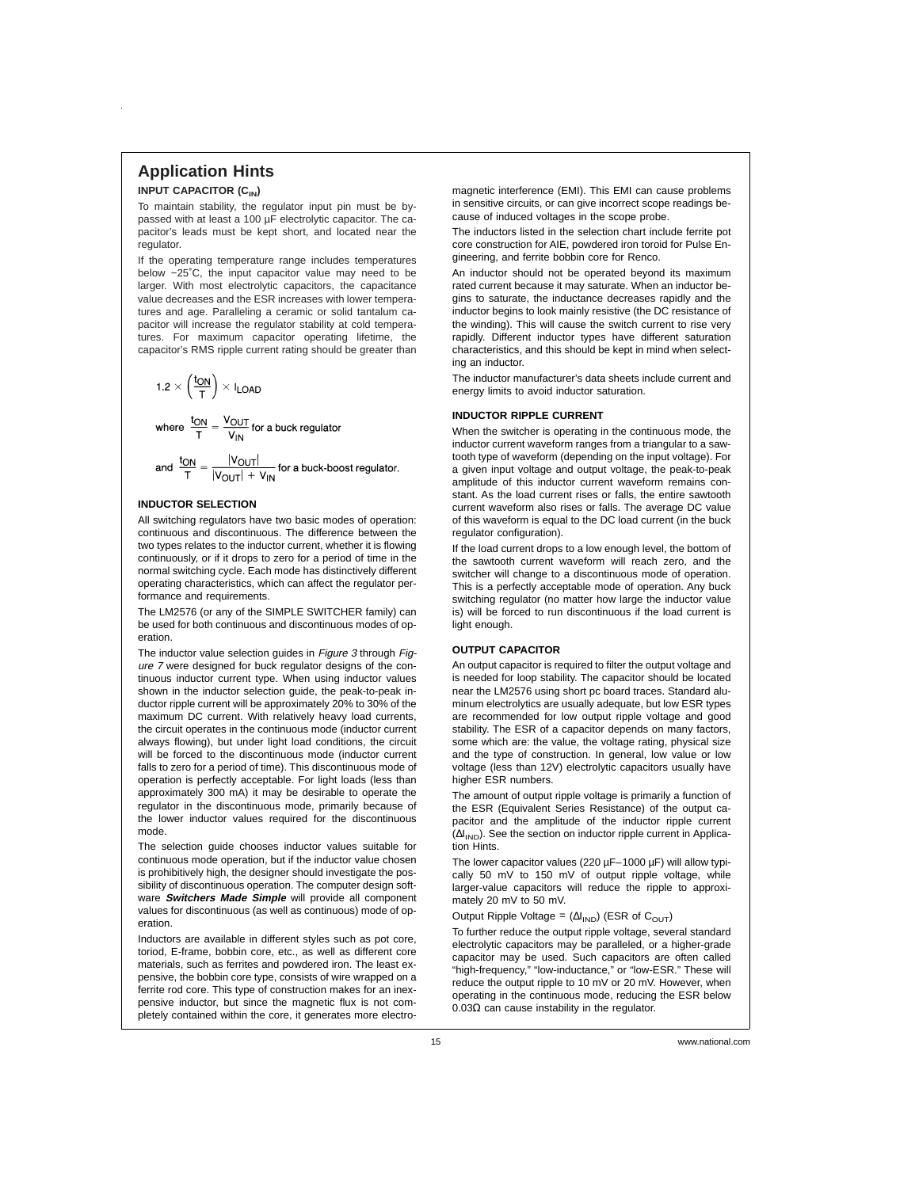# **Application Hints**

### **INPUT CAPACITOR (C<sub>IN</sub>)**

To maintain stability, the regulator input pin must be bypassed with at least a 100 µF electrolytic capacitor. The capacitor's leads must be kept short, and located near the regulator.

If the operating temperature range includes temperatures below −25˚C, the input capacitor value may need to be larger. With most electrolytic capacitors, the capacitance value decreases and the ESR increases with lower temperatures and age. Paralleling a ceramic or solid tantalum capacitor will increase the regulator stability at cold temperatures. For maximum capacitor operating lifetime, the capacitor's RMS ripple current rating should be greater than

$$
1.2 \times \left(\frac{t_{ON}}{T}\right) \times I_{LOAD}
$$

where  $\frac{t_{ON}}{T} = \frac{V_{OUT}}{V_{IN}}$  for a buck regulator  $|V_{\infty}, -|$ 

and 
$$
\frac{10N}{T} = \frac{190011}{|V_{\text{OUT}}| + V_{\text{IN}}}
$$
 for a buck-boost regulator

#### **INDUCTOR SELECTION**

All switching regulators have two basic modes of operation: continuous and discontinuous. The difference between the two types relates to the inductor current, whether it is flowing continuously, or if it drops to zero for a period of time in the normal switching cycle. Each mode has distinctively different operating characteristics, which can affect the regulator performance and requirements.

The LM2576 (or any of the SIMPLE SWITCHER family) can be used for both continuous and discontinuous modes of operation.

The inductor value selection guides in Figure 3 through Figure <sup>7</sup> were designed for buck regulator designs of the continuous inductor current type. When using inductor values shown in the inductor selection guide, the peak-to-peak inductor ripple current will be approximately 20% to 30% of the maximum DC current. With relatively heavy load currents, the circuit operates in the continuous mode (inductor current always flowing), but under light load conditions, the circuit will be forced to the discontinuous mode (inductor current falls to zero for a period of time). This discontinuous mode of operation is perfectly acceptable. For light loads (less than approximately 300 mA) it may be desirable to operate the regulator in the discontinuous mode, primarily because of the lower inductor values required for the discontinuous mode.

The selection guide chooses inductor values suitable for continuous mode operation, but if the inductor value chosen is prohibitively high, the designer should investigate the possibility of discontinuous operation. The computer design software **Switchers Made Simple** will provide all component values for discontinuous (as well as continuous) mode of operation.

Inductors are available in different styles such as pot core, toriod, E-frame, bobbin core, etc., as well as different core materials, such as ferrites and powdered iron. The least expensive, the bobbin core type, consists of wire wrapped on a ferrite rod core. This type of construction makes for an inexpensive inductor, but since the magnetic flux is not completely contained within the core, it generates more electromagnetic interference (EMI). This EMI can cause problems in sensitive circuits, or can give incorrect scope readings because of induced voltages in the scope probe.

The inductors listed in the selection chart include ferrite pot core construction for AIE, powdered iron toroid for Pulse Engineering, and ferrite bobbin core for Renco.

An inductor should not be operated beyond its maximum rated current because it may saturate. When an inductor begins to saturate, the inductance decreases rapidly and the inductor begins to look mainly resistive (the DC resistance of the winding). This will cause the switch current to rise very rapidly. Different inductor types have different saturation characteristics, and this should be kept in mind when selecting an inductor.

The inductor manufacturer's data sheets include current and energy limits to avoid inductor saturation.

#### **INDUCTOR RIPPLE CURRENT**

When the switcher is operating in the continuous mode, the inductor current waveform ranges from a triangular to a sawtooth type of waveform (depending on the input voltage). For a given input voltage and output voltage, the peak-to-peak amplitude of this inductor current waveform remains constant. As the load current rises or falls, the entire sawtooth current waveform also rises or falls. The average DC value of this waveform is equal to the DC load current (in the buck regulator configuration).

If the load current drops to a low enough level, the bottom of the sawtooth current waveform will reach zero, and the switcher will change to a discontinuous mode of operation. This is a perfectly acceptable mode of operation. Any buck switching regulator (no matter how large the inductor value is) will be forced to run discontinuous if the load current is light enough.

### **OUTPUT CAPACITOR**

An output capacitor is required to filter the output voltage and is needed for loop stability. The capacitor should be located near the LM2576 using short pc board traces. Standard aluminum electrolytics are usually adequate, but low ESR types are recommended for low output ripple voltage and good stability. The ESR of a capacitor depends on many factors, some which are: the value, the voltage rating, physical size and the type of construction. In general, low value or low voltage (less than 12V) electrolytic capacitors usually have higher ESR numbers.

The amount of output ripple voltage is primarily a function of the ESR (Equivalent Series Resistance) of the output capacitor and the amplitude of the inductor ripple current (∆I<sub>IND</sub>). See the section on inductor ripple current in Application Hints.

The lower capacitor values (220 µF–1000 µF) will allow typically 50 mV to 150 mV of output ripple voltage, while larger-value capacitors will reduce the ripple to approximately 20 mV to 50 mV.

Output Ripple Voltage =  $(\Delta I_{IND})$  (ESR of C<sub>OUT</sub>)

To further reduce the output ripple voltage, several standard electrolytic capacitors may be paralleled, or a higher-grade capacitor may be used. Such capacitors are often called "high-frequency," "low-inductance," or "low-ESR." These will reduce the output ripple to 10 mV or 20 mV. However, when operating in the continuous mode, reducing the ESR below 0.03Ω can cause instability in the regulator.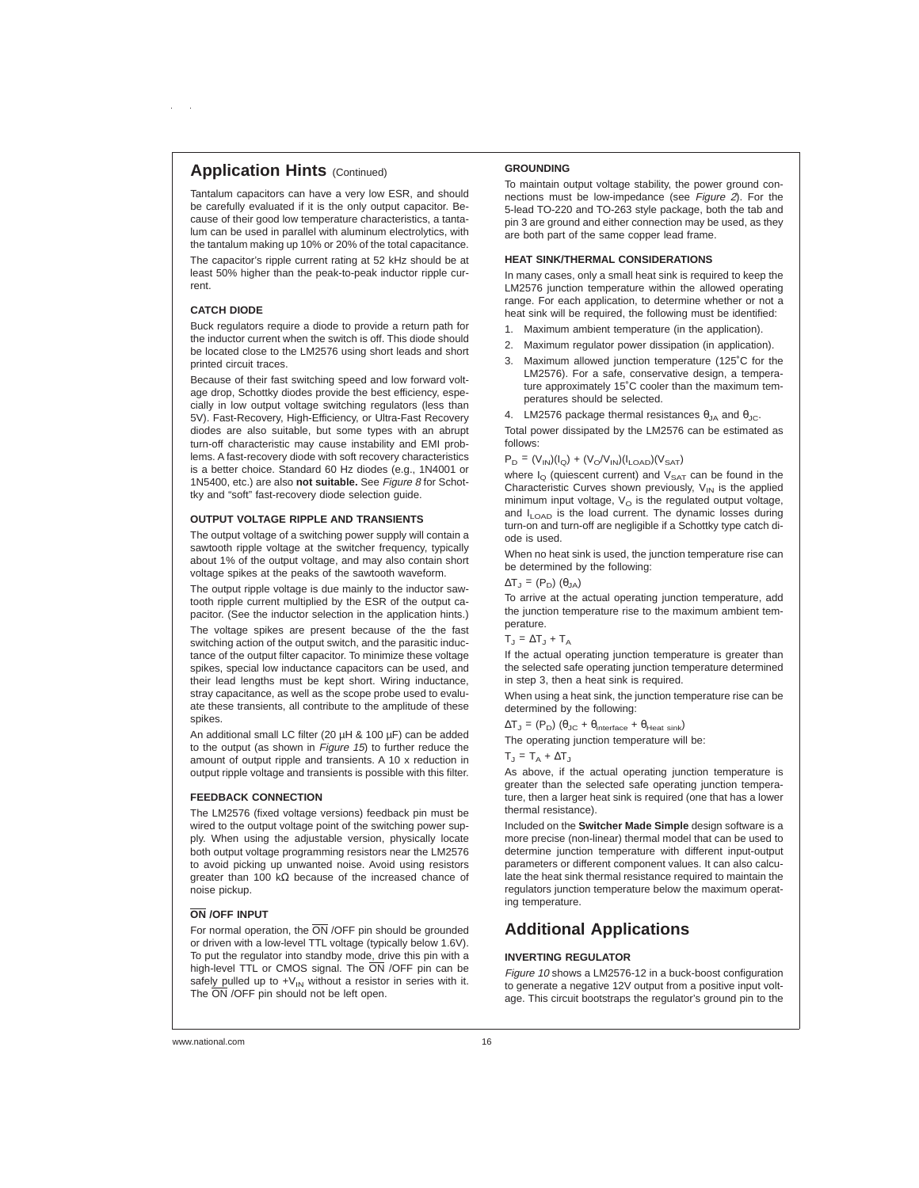### **Application Hints (Continued)**

Tantalum capacitors can have a very low ESR, and should be carefully evaluated if it is the only output capacitor. Because of their good low temperature characteristics, a tantalum can be used in parallel with aluminum electrolytics, with the tantalum making up 10% or 20% of the total capacitance.

The capacitor's ripple current rating at 52 kHz should be at least 50% higher than the peak-to-peak inductor ripple current.

#### **CATCH DIODE**

Buck regulators require a diode to provide a return path for the inductor current when the switch is off. This diode should be located close to the LM2576 using short leads and short printed circuit traces.

Because of their fast switching speed and low forward voltage drop, Schottky diodes provide the best efficiency, especially in low output voltage switching regulators (less than 5V). Fast-Recovery, High-Efficiency, or Ultra-Fast Recovery diodes are also suitable, but some types with an abrupt turn-off characteristic may cause instability and EMI problems. A fast-recovery diode with soft recovery characteristics is a better choice. Standard 60 Hz diodes (e.g., 1N4001 or 1N5400, etc.) are also **not suitable.** See Figure <sup>8</sup> for Schottky and "soft" fast-recovery diode selection guide.

#### **OUTPUT VOLTAGE RIPPLE AND TRANSIENTS**

The output voltage of a switching power supply will contain a sawtooth ripple voltage at the switcher frequency, typically about 1% of the output voltage, and may also contain short voltage spikes at the peaks of the sawtooth waveform.

The output ripple voltage is due mainly to the inductor sawtooth ripple current multiplied by the ESR of the output capacitor. (See the inductor selection in the application hints.)

The voltage spikes are present because of the the fast switching action of the output switch, and the parasitic inductance of the output filter capacitor. To minimize these voltage spikes, special low inductance capacitors can be used, and their lead lengths must be kept short. Wiring inductance, stray capacitance, as well as the scope probe used to evaluate these transients, all contribute to the amplitude of these spikes.

An additional small LC filter (20 µH & 100 µF) can be added to the output (as shown in Figure 15) to further reduce the amount of output ripple and transients. A 10 x reduction in output ripple voltage and transients is possible with this filter.

#### **FEEDBACK CONNECTION**

The LM2576 (fixed voltage versions) feedback pin must be wired to the output voltage point of the switching power supply. When using the adjustable version, physically locate both output voltage programming resistors near the LM2576 to avoid picking up unwanted noise. Avoid using resistors greater than 100 kΩ because of the increased chance of noise pickup.

#### **ON /OFF INPUT**

For normal operation, the  $\overline{ON}$  /OFF pin should be grounded or driven with a low-level TTL voltage (typically below 1.6V). To put the regulator into standby mode, drive this pin with a high-level TTL or CMOS signal. The ON /OFF pin can be safely pulled up to  $+V_{IN}$  without a resistor in series with it. The  $\overline{ON}$  /OFF pin should not be left open.

#### **GROUNDING**

To maintain output voltage stability, the power ground connections must be low-impedance (see Figure <sup>2</sup>). For the 5-lead TO-220 and TO-263 style package, both the tab and pin 3 are ground and either connection may be used, as they are both part of the same copper lead frame.

#### **HEAT SINK/THERMAL CONSIDERATIONS**

In many cases, only a small heat sink is required to keep the LM2576 junction temperature within the allowed operating range. For each application, to determine whether or not a heat sink will be required, the following must be identified:

- 1. Maximum ambient temperature (in the application).
- 2. Maximum regulator power dissipation (in application).
- 3. Maximum allowed junction temperature (125˚C for the LM2576). For a safe, conservative design, a temperature approximately 15˚C cooler than the maximum temperatures should be selected.
- 4. LM2576 package thermal resistances  $\theta_{JA}$  and  $\theta_{JC}$ .

Total power dissipated by the LM2576 can be estimated as follows:

#### $P_D = (V_{IN})(I_O) + (V_O/V_{IN})(I_{I OAD})(V_{SAT})$

where  $I_{\Omega}$  (quiescent current) and  $V_{\text{SAT}}$  can be found in the Characteristic Curves shown previously,  $V_{IN}$  is the applied minimum input voltage,  $V_{\rm O}$  is the regulated output voltage, and I<sub>LOAD</sub> is the load current. The dynamic losses during turn-on and turn-off are negligible if a Schottky type catch diode is used.

When no heat sink is used, the junction temperature rise can be determined by the following:

$$
\Delta T_{J} = (P_{D}) (\theta_{JA})
$$

To arrive at the actual operating junction temperature, add the junction temperature rise to the maximum ambient temperature.

 $T_J = \Delta T_J + T_A$ 

If the actual operating junction temperature is greater than the selected safe operating junction temperature determined in step 3, then a heat sink is required.

When using a heat sink, the junction temperature rise can be determined by the following:

 $\Delta T_J = (P_D) (\theta_{JC} + \theta_{interface} + \theta_{Heat sink})$ 

The operating junction temperature will be:

 $T_1 = T_4 + \Delta T_1$ 

As above, if the actual operating junction temperature is greater than the selected safe operating junction temperature, then a larger heat sink is required (one that has a lower thermal resistance).

Included on the **Switcher Made Simple** design software is a more precise (non-linear) thermal model that can be used to determine junction temperature with different input-output parameters or different component values. It can also calculate the heat sink thermal resistance required to maintain the regulators junction temperature below the maximum operating temperature.

# **Additional Applications**

#### **INVERTING REGULATOR**

Figure 10 shows a LM2576-12 in a buck-boost configuration to generate a negative 12V output from a positive input voltage. This circuit bootstraps the regulator's ground pin to the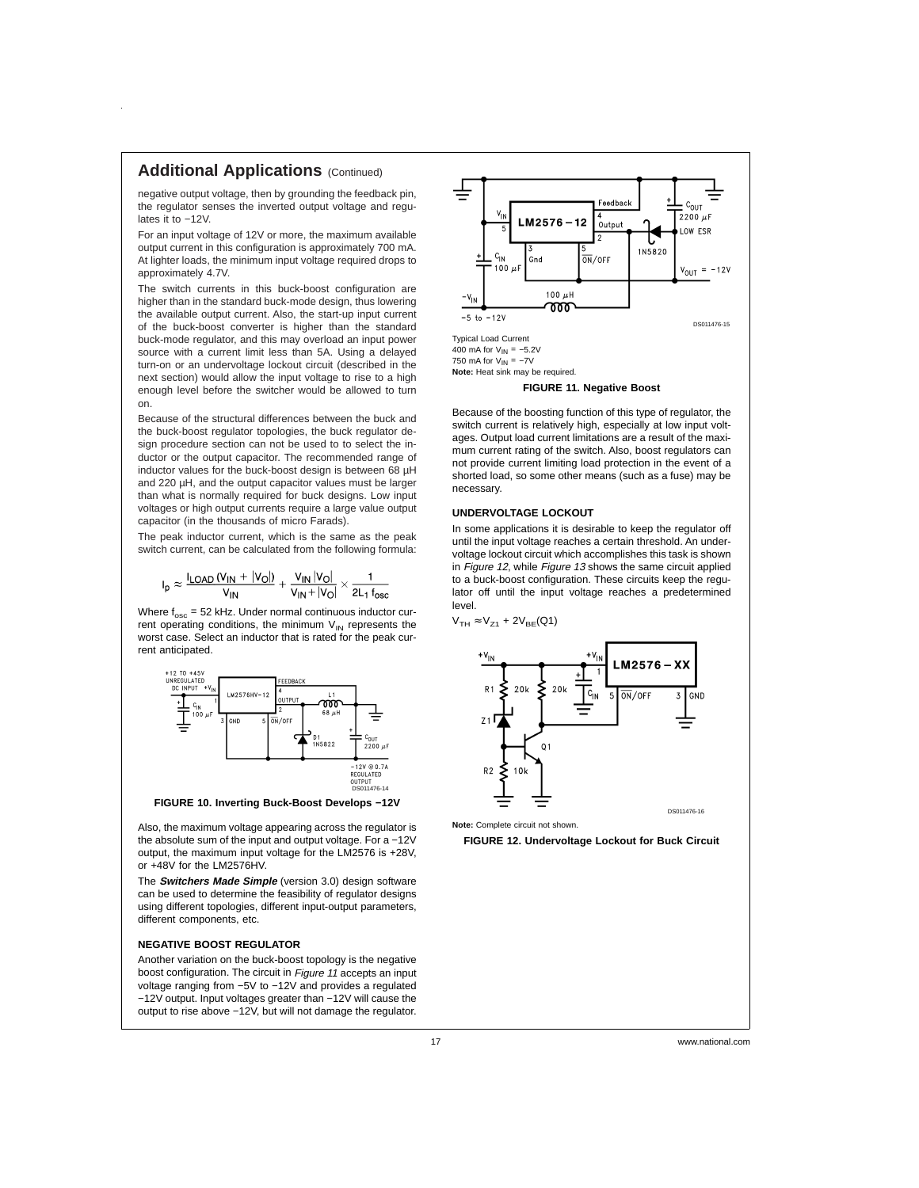# **Additional Applications** (Continued)

negative output voltage, then by grounding the feedback pin, the regulator senses the inverted output voltage and regulates it to −12V.

For an input voltage of 12V or more, the maximum available output current in this configuration is approximately 700 mA. At lighter loads, the minimum input voltage required drops to approximately 4.7V.

The switch currents in this buck-boost configuration are higher than in the standard buck-mode design, thus lowering the available output current. Also, the start-up input current of the buck-boost converter is higher than the standard buck-mode regulator, and this may overload an input power source with a current limit less than 5A. Using a delayed turn-on or an undervoltage lockout circuit (described in the next section) would allow the input voltage to rise to a high enough level before the switcher would be allowed to turn on.

Because of the structural differences between the buck and the buck-boost regulator topologies, the buck regulator design procedure section can not be used to to select the inductor or the output capacitor. The recommended range of inductor values for the buck-boost design is between 68 µH and 220 µH, and the output capacitor values must be larger than what is normally required for buck designs. Low input voltages or high output currents require a large value output capacitor (in the thousands of micro Farads).

The peak inductor current, which is the same as the peak switch current, can be calculated from the following formula:

$$
I_p \approx \frac{I_{LOAD} (V_{IN} + |V_O|)}{V_{IN}} + \frac{V_{IN} |V_O|}{V_{IN} + |V_O|} \times \frac{1}{2L_1 f_{osc}}
$$

Where  $f_{\rm osc}$  = 52 kHz. Under normal continuous inductor current operating conditions, the minimum  $V_{IN}$  represents the worst case. Select an inductor that is rated for the peak current anticipated.



**FIGURE 10. Inverting Buck-Boost Develops −12V**

Also, the maximum voltage appearing across the regulator is the absolute sum of the input and output voltage. For a −12V output, the maximum input voltage for the LM2576 is +28V, or +48V for the LM2576HV.

The **Switchers Made Simple** (version 3.0) design software can be used to determine the feasibility of regulator designs using different topologies, different input-output parameters, different components, etc.

#### **NEGATIVE BOOST REGULATOR**

Another variation on the buck-boost topology is the negative boost configuration. The circuit in Figure <sup>11</sup> accepts an input voltage ranging from −5V to −12V and provides a regulated −12V output. Input voltages greater than −12V will cause the output to rise above −12V, but will not damage the regulator.



#### **FIGURE 11. Negative Boost**

Because of the boosting function of this type of regulator, the switch current is relatively high, especially at low input voltages. Output load current limitations are a result of the maximum current rating of the switch. Also, boost regulators can not provide current limiting load protection in the event of a shorted load, so some other means (such as a fuse) may be necessary.

#### **UNDERVOLTAGE LOCKOUT**

In some applications it is desirable to keep the regulator off until the input voltage reaches a certain threshold. An undervoltage lockout circuit which accomplishes this task is shown in Figure 12, while Figure 13 shows the same circuit applied to a buck-boost configuration. These circuits keep the regulator off until the input voltage reaches a predetermined level.





**Note:** Complete circuit not shown.

**FIGURE 12. Undervoltage Lockout for Buck Circuit**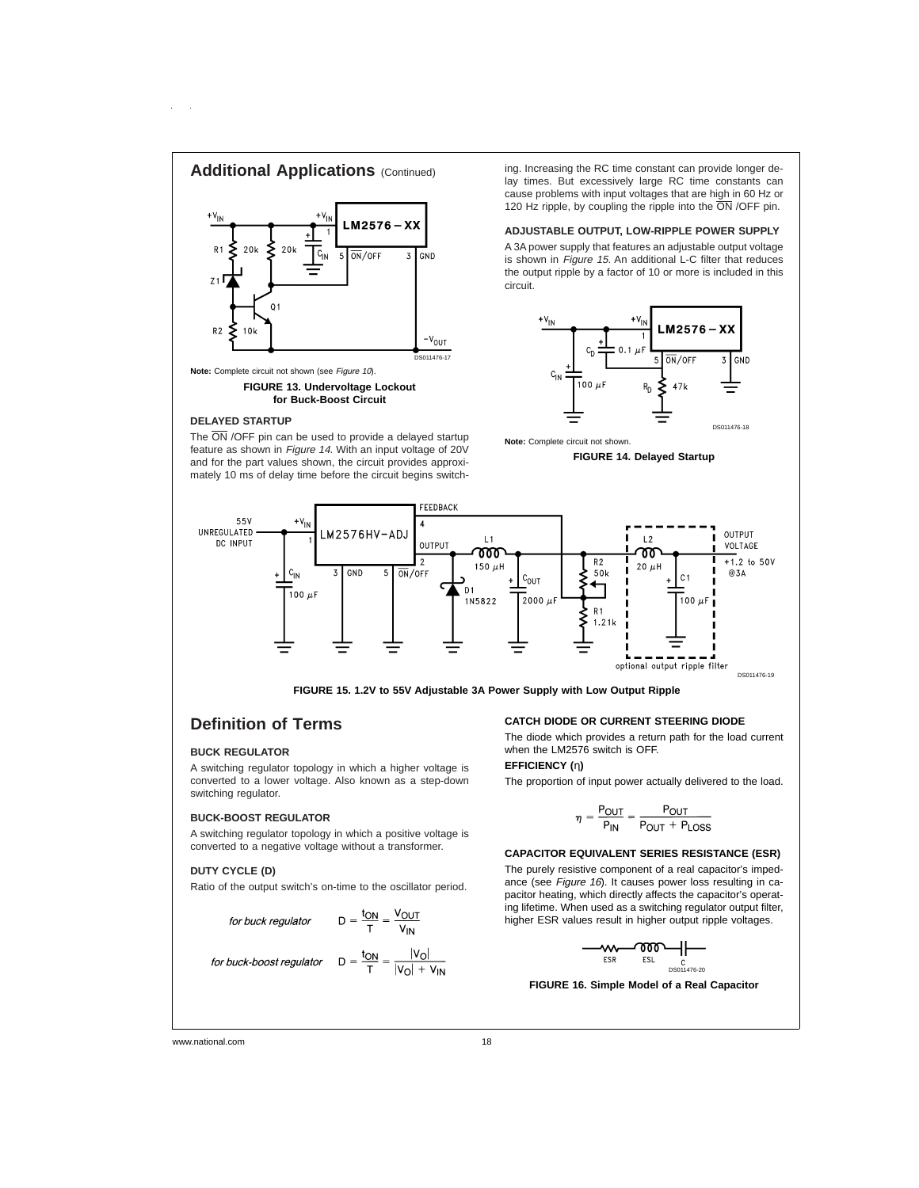

### **DELAYED STARTUP**

The  $\overline{\text{ON}}$  /OFF pin can be used to provide a delayed startup feature as shown in Figure <sup>14</sup>. With an input voltage of 20V and for the part values shown, the circuit provides approximately 10 ms of delay time before the circuit begins switch-

is shown in Figure 15. An additional L-C filter that reduces the output ripple by a factor of 10 or more is included in this



**Note:** Complete circuit not shown.

**FIGURE 14. Delayed Startup**



**FIGURE 15. 1.2V to 55V Adjustable 3A Power Supply with Low Output Ripple**

## **Definition of Terms**

### **BUCK REGULATOR**

A switching regulator topology in which a higher voltage is converted to a lower voltage. Also known as a step-down switching regulator.

#### **BUCK-BOOST REGULATOR**

A switching regulator topology in which a positive voltage is converted to a negative voltage without a transformer.

#### **DUTY CYCLE (D)**

Ratio of the output switch's on-time to the oscillator period.

for buck regulator 
$$
D = \frac{t_{ON}}{T} = \frac{V_{OUT}}{V_{IN}}
$$

for buck-boost regulato

$$
D = \frac{V_N}{T} = \frac{V_N}{V_N}
$$

$$
D = \frac{V_N}{T} = \frac{|V_0|}{|V_0| + V_N}
$$

**CATCH DIODE OR CURRENT STEERING DIODE**

The diode which provides a return path for the load current when the LM2576 switch is OFF.

### **EFFICIENCY (**η**)**

The proportion of input power actually delivered to the load.

$$
\eta = \frac{P_{OUT}}{P_{IN}} = \frac{P_{OUT}}{P_{OUT} + P_{LOSS}}
$$

#### **CAPACITOR EQUIVALENT SERIES RESISTANCE (ESR)**

The purely resistive component of a real capacitor's impedance (see Figure 16). It causes power loss resulting in capacitor heating, which directly affects the capacitor's operating lifetime. When used as a switching regulator output filter, higher ESR values result in higher output ripple voltages.

$$
-\underbrace{w}{\text{ESR}} \underbrace{\text{POD}}_{\text{ESL}} + \underbrace{\text{POD}}_{\text{DS011476-20}}
$$

**FIGURE 16. Simple Model of a Real Capacitor**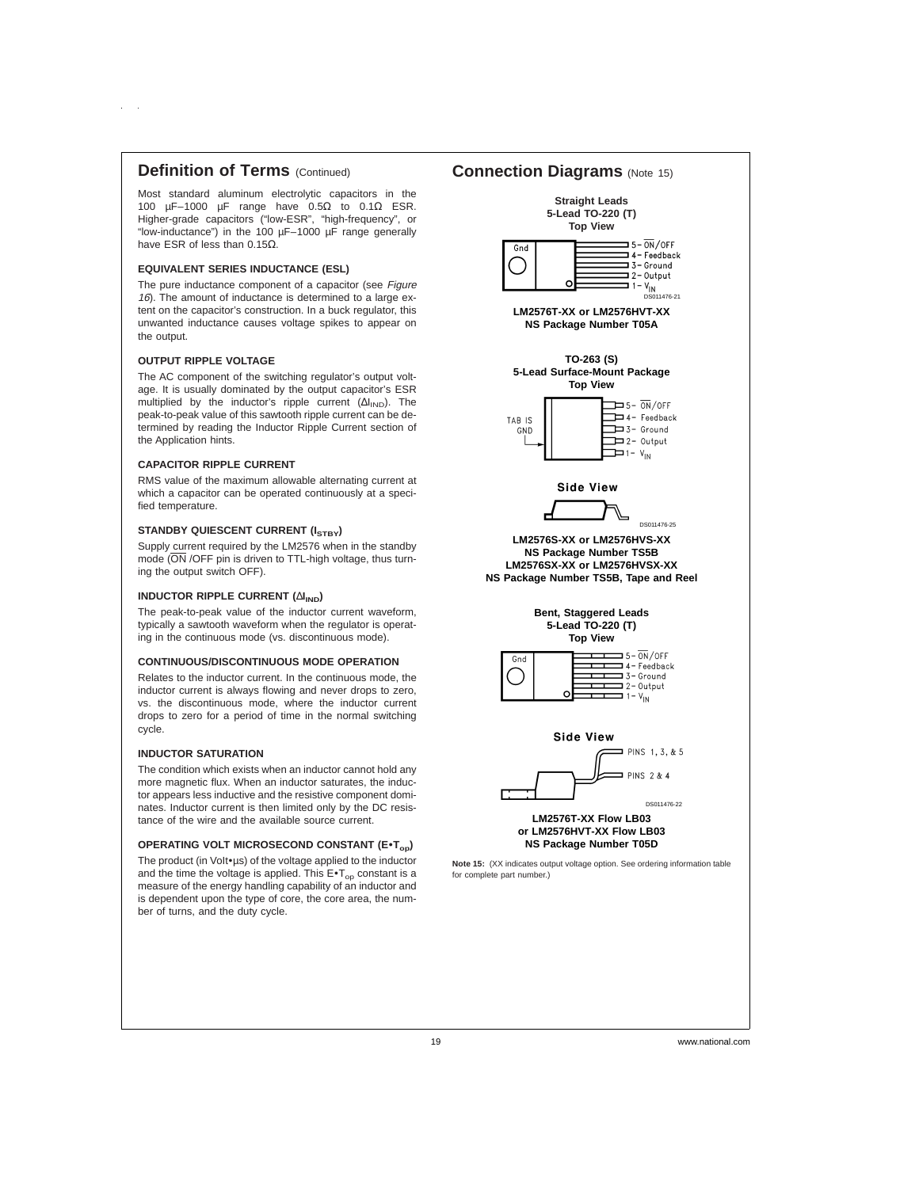# **Definition of Terms** (Continued)

Most standard aluminum electrolytic capacitors in the 100 µF–1000 µF range have  $0.5\Omega$  to  $0.1\Omega$  ESR. Higher-grade capacitors ("low-ESR", "high-frequency", or "low-inductance") in the 100 µF–1000 µF range generally have ESR of less than 0.15Ω.

### **EQUIVALENT SERIES INDUCTANCE (ESL)**

The pure inductance component of a capacitor (see Figure 16). The amount of inductance is determined to a large extent on the capacitor's construction. In a buck regulator, this unwanted inductance causes voltage spikes to appear on the output.

#### **OUTPUT RIPPLE VOLTAGE**

The AC component of the switching regulator's output voltage. It is usually dominated by the output capacitor's ESR multiplied by the inductor's ripple current  $(\Delta I_{\text{IND}})$ . The peak-to-peak value of this sawtooth ripple current can be determined by reading the Inductor Ripple Current section of the Application hints.

#### **CAPACITOR RIPPLE CURRENT**

RMS value of the maximum allowable alternating current at which a capacitor can be operated continuously at a specified temperature.

### **STANDBY QUIESCENT CURRENT (ISTBY)**

Supply current required by the LM2576 when in the standby mode (ON /OFF pin is driven to TTL-high voltage, thus turning the output switch OFF).

### **INDUCTOR RIPPLE CURRENT (∆I<sub>IND</sub>)**

The peak-to-peak value of the inductor current waveform, typically a sawtooth waveform when the regulator is operating in the continuous mode (vs. discontinuous mode).

#### **CONTINUOUS/DISCONTINUOUS MODE OPERATION**

Relates to the inductor current. In the continuous mode, the inductor current is always flowing and never drops to zero, vs. the discontinuous mode, where the inductor current drops to zero for a period of time in the normal switching cycle.

#### **INDUCTOR SATURATION**

The condition which exists when an inductor cannot hold any more magnetic flux. When an inductor saturates, the inductor appears less inductive and the resistive component dominates. Inductor current is then limited only by the DC resistance of the wire and the available source current.

### **OPERATING VOLT MICROSECOND CONSTANT (E\*Top)**

The product (in Volt∙us) of the voltage applied to the inductor and the time the voltage is applied. This  $E\bullet T_{op}$  constant is a measure of the energy handling capability of an inductor and is dependent upon the type of core, the core area, the number of turns, and the duty cycle.

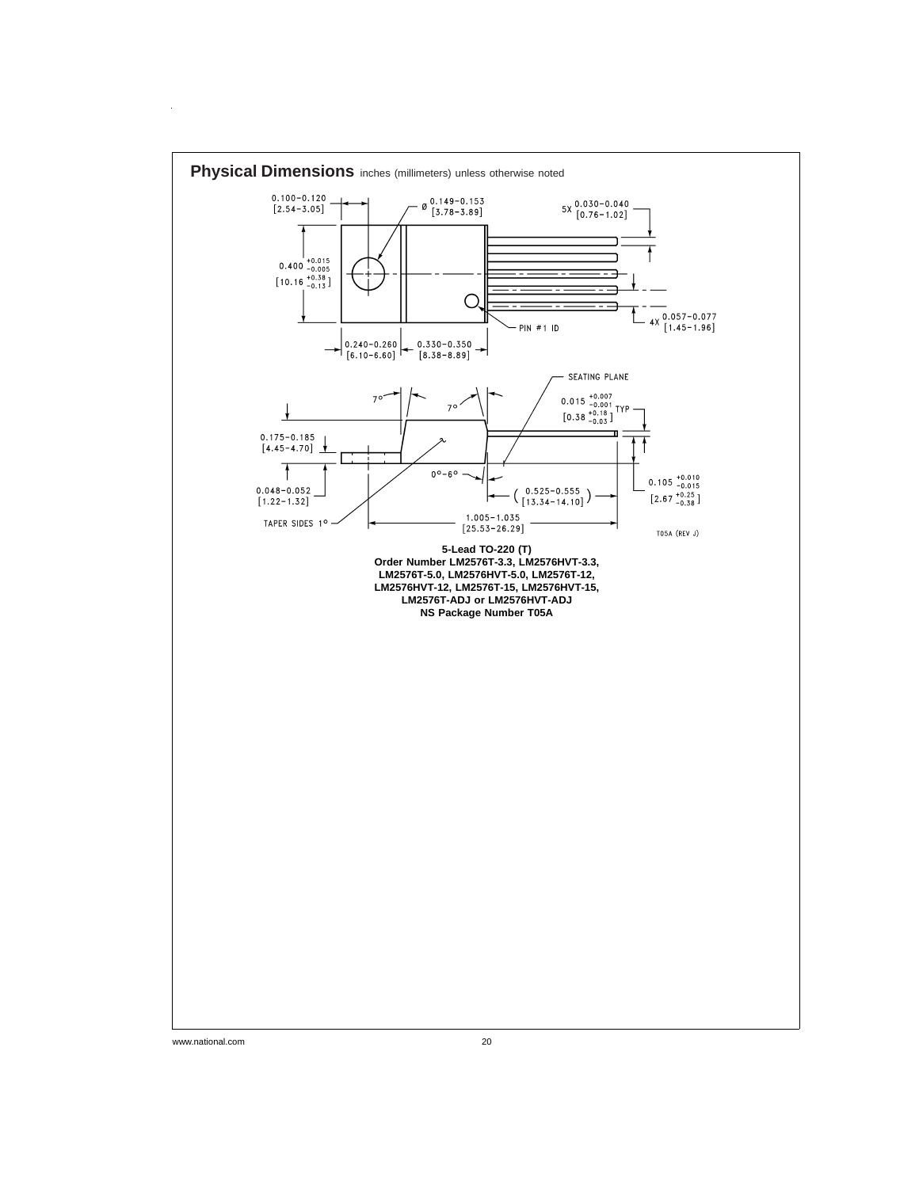

www.national.com 20

 $\hat{\mathcal{A}}$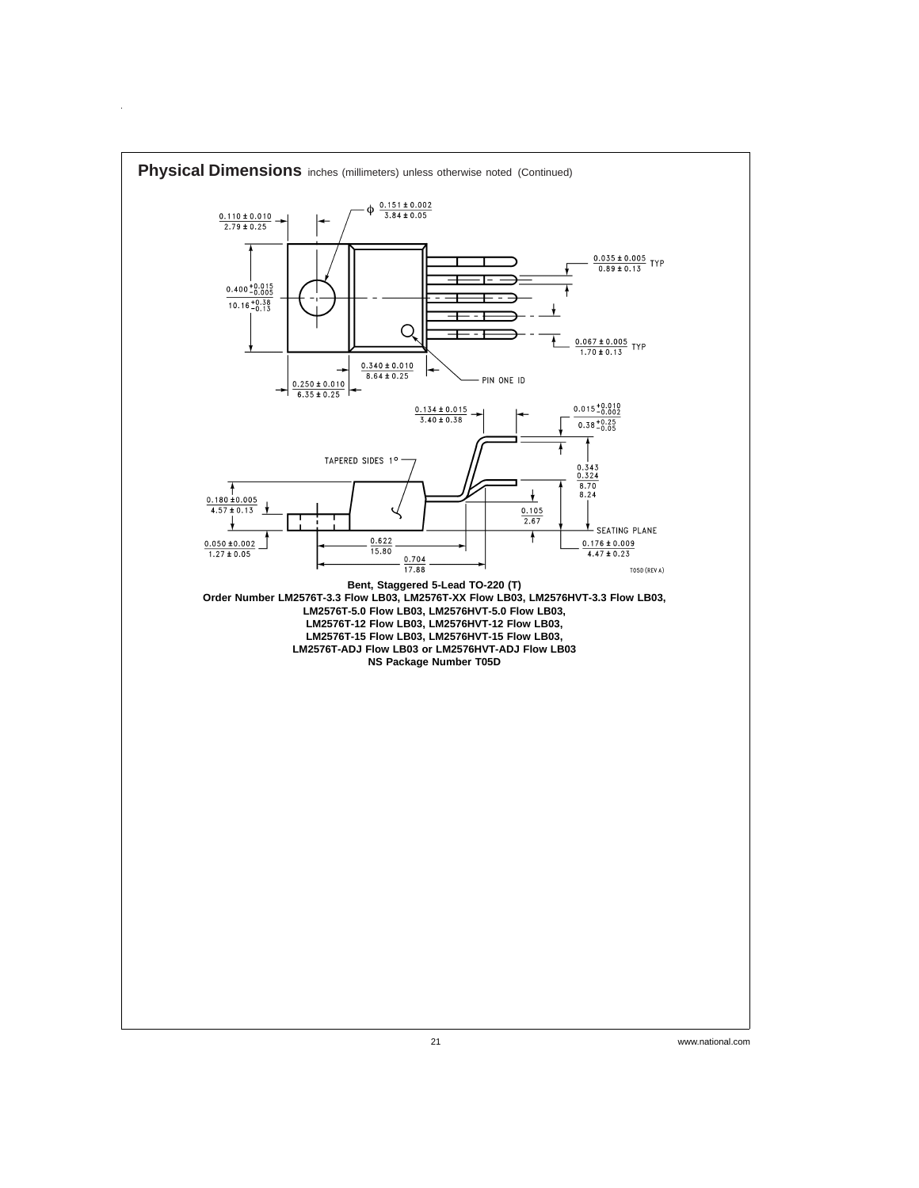

 $\hat{\boldsymbol{\theta}}$